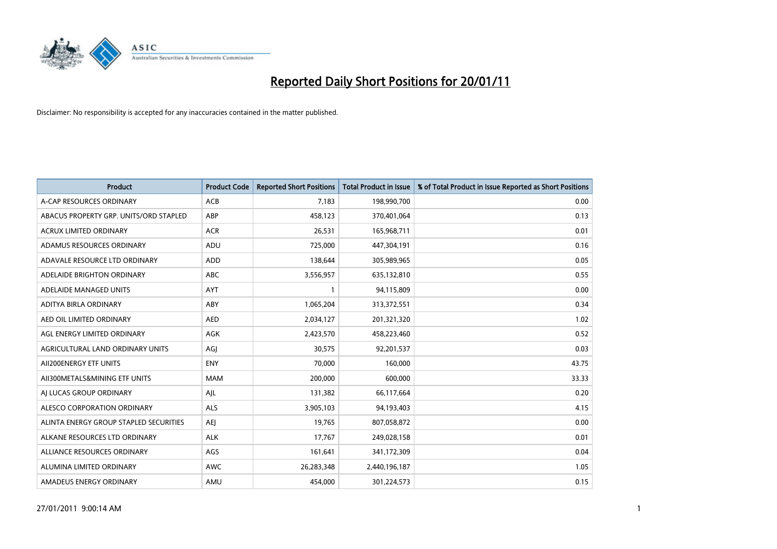

| <b>Product</b>                         | <b>Product Code</b> | <b>Reported Short Positions</b> | Total Product in Issue | % of Total Product in Issue Reported as Short Positions |
|----------------------------------------|---------------------|---------------------------------|------------------------|---------------------------------------------------------|
| A-CAP RESOURCES ORDINARY               | ACB                 | 7,183                           | 198,990,700            | 0.00                                                    |
| ABACUS PROPERTY GRP. UNITS/ORD STAPLED | ABP                 | 458,123                         | 370,401,064            | 0.13                                                    |
| <b>ACRUX LIMITED ORDINARY</b>          | <b>ACR</b>          | 26,531                          | 165,968,711            | 0.01                                                    |
| ADAMUS RESOURCES ORDINARY              | ADU                 | 725,000                         | 447,304,191            | 0.16                                                    |
| ADAVALE RESOURCE LTD ORDINARY          | <b>ADD</b>          | 138,644                         | 305,989,965            | 0.05                                                    |
| ADELAIDE BRIGHTON ORDINARY             | <b>ABC</b>          | 3,556,957                       | 635,132,810            | 0.55                                                    |
| ADELAIDE MANAGED UNITS                 | <b>AYT</b>          |                                 | 94,115,809             | 0.00                                                    |
| ADITYA BIRLA ORDINARY                  | ABY                 | 1,065,204                       | 313,372,551            | 0.34                                                    |
| AED OIL LIMITED ORDINARY               | <b>AED</b>          | 2,034,127                       | 201,321,320            | 1.02                                                    |
| AGL ENERGY LIMITED ORDINARY            | <b>AGK</b>          | 2,423,570                       | 458,223,460            | 0.52                                                    |
| AGRICULTURAL LAND ORDINARY UNITS       | AGJ                 | 30,575                          | 92,201,537             | 0.03                                                    |
| AII200ENERGY ETF UNITS                 | <b>ENY</b>          | 70,000                          | 160,000                | 43.75                                                   |
| AII300METALS&MINING ETF UNITS          | <b>MAM</b>          | 200,000                         | 600.000                | 33.33                                                   |
| AI LUCAS GROUP ORDINARY                | AJL                 | 131,382                         | 66,117,664             | 0.20                                                    |
| ALESCO CORPORATION ORDINARY            | <b>ALS</b>          | 3,905,103                       | 94,193,403             | 4.15                                                    |
| ALINTA ENERGY GROUP STAPLED SECURITIES | <b>AEI</b>          | 19,765                          | 807,058,872            | 0.00                                                    |
| ALKANE RESOURCES LTD ORDINARY          | <b>ALK</b>          | 17,767                          | 249,028,158            | 0.01                                                    |
| ALLIANCE RESOURCES ORDINARY            | AGS                 | 161,641                         | 341,172,309            | 0.04                                                    |
| ALUMINA LIMITED ORDINARY               | <b>AWC</b>          | 26,283,348                      | 2,440,196,187          | 1.05                                                    |
| AMADEUS ENERGY ORDINARY                | AMU                 | 454.000                         | 301,224,573            | 0.15                                                    |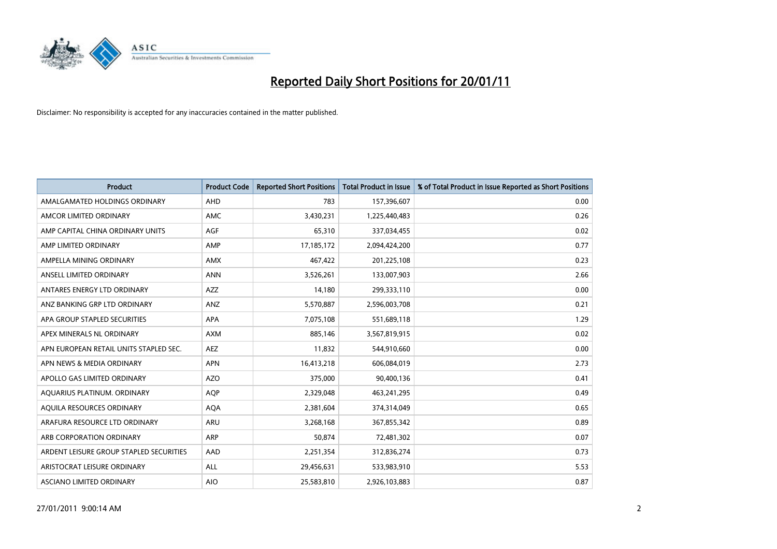

| <b>Product</b>                          | <b>Product Code</b> | <b>Reported Short Positions</b> | <b>Total Product in Issue</b> | % of Total Product in Issue Reported as Short Positions |
|-----------------------------------------|---------------------|---------------------------------|-------------------------------|---------------------------------------------------------|
| AMALGAMATED HOLDINGS ORDINARY           | <b>AHD</b>          | 783                             | 157,396,607                   | 0.00                                                    |
| AMCOR LIMITED ORDINARY                  | AMC                 | 3,430,231                       | 1,225,440,483                 | 0.26                                                    |
| AMP CAPITAL CHINA ORDINARY UNITS        | <b>AGF</b>          | 65,310                          | 337,034,455                   | 0.02                                                    |
| AMP LIMITED ORDINARY                    | AMP                 | 17,185,172                      | 2,094,424,200                 | 0.77                                                    |
| AMPELLA MINING ORDINARY                 | <b>AMX</b>          | 467,422                         | 201,225,108                   | 0.23                                                    |
| ANSELL LIMITED ORDINARY                 | <b>ANN</b>          | 3,526,261                       | 133,007,903                   | 2.66                                                    |
| ANTARES ENERGY LTD ORDINARY             | AZZ                 | 14,180                          | 299,333,110                   | 0.00                                                    |
| ANZ BANKING GRP LTD ORDINARY            | ANZ                 | 5,570,887                       | 2,596,003,708                 | 0.21                                                    |
| APA GROUP STAPLED SECURITIES            | APA                 | 7,075,108                       | 551,689,118                   | 1.29                                                    |
| APEX MINERALS NL ORDINARY               | <b>AXM</b>          | 885,146                         | 3,567,819,915                 | 0.02                                                    |
| APN EUROPEAN RETAIL UNITS STAPLED SEC.  | <b>AEZ</b>          | 11,832                          | 544,910,660                   | 0.00                                                    |
| APN NEWS & MEDIA ORDINARY               | <b>APN</b>          | 16,413,218                      | 606,084,019                   | 2.73                                                    |
| APOLLO GAS LIMITED ORDINARY             | <b>AZO</b>          | 375,000                         | 90,400,136                    | 0.41                                                    |
| AQUARIUS PLATINUM. ORDINARY             | <b>AOP</b>          | 2,329,048                       | 463,241,295                   | 0.49                                                    |
| AQUILA RESOURCES ORDINARY               | AQA                 | 2,381,604                       | 374,314,049                   | 0.65                                                    |
| ARAFURA RESOURCE LTD ORDINARY           | ARU                 | 3,268,168                       | 367,855,342                   | 0.89                                                    |
| ARB CORPORATION ORDINARY                | <b>ARP</b>          | 50,874                          | 72,481,302                    | 0.07                                                    |
| ARDENT LEISURE GROUP STAPLED SECURITIES | AAD                 | 2,251,354                       | 312,836,274                   | 0.73                                                    |
| ARISTOCRAT LEISURE ORDINARY             | <b>ALL</b>          | 29,456,631                      | 533,983,910                   | 5.53                                                    |
| ASCIANO LIMITED ORDINARY                | <b>AIO</b>          | 25,583,810                      | 2,926,103,883                 | 0.87                                                    |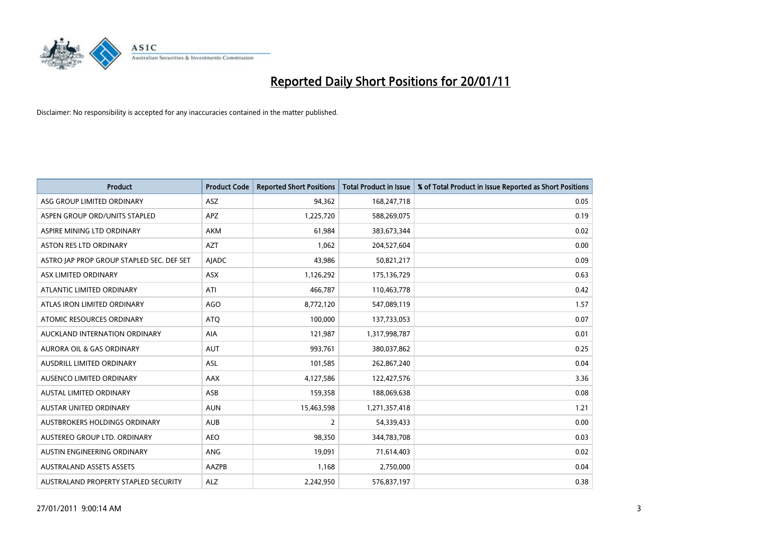

| <b>Product</b>                            | <b>Product Code</b> | <b>Reported Short Positions</b> | Total Product in Issue | % of Total Product in Issue Reported as Short Positions |
|-------------------------------------------|---------------------|---------------------------------|------------------------|---------------------------------------------------------|
| ASG GROUP LIMITED ORDINARY                | <b>ASZ</b>          | 94,362                          | 168,247,718            | 0.05                                                    |
| ASPEN GROUP ORD/UNITS STAPLED             | <b>APZ</b>          | 1,225,720                       | 588,269,075            | 0.19                                                    |
| ASPIRE MINING LTD ORDINARY                | <b>AKM</b>          | 61,984                          | 383,673,344            | 0.02                                                    |
| ASTON RES LTD ORDINARY                    | AZT                 | 1,062                           | 204,527,604            | 0.00                                                    |
| ASTRO JAP PROP GROUP STAPLED SEC. DEF SET | <b>AJADC</b>        | 43,986                          | 50,821,217             | 0.09                                                    |
| ASX LIMITED ORDINARY                      | ASX                 | 1,126,292                       | 175,136,729            | 0.63                                                    |
| ATLANTIC LIMITED ORDINARY                 | ATI                 | 466,787                         | 110,463,778            | 0.42                                                    |
| ATLAS IRON LIMITED ORDINARY               | <b>AGO</b>          | 8,772,120                       | 547,089,119            | 1.57                                                    |
| ATOMIC RESOURCES ORDINARY                 | <b>ATQ</b>          | 100,000                         | 137,733,053            | 0.07                                                    |
| AUCKLAND INTERNATION ORDINARY             | <b>AIA</b>          | 121,987                         | 1,317,998,787          | 0.01                                                    |
| <b>AURORA OIL &amp; GAS ORDINARY</b>      | <b>AUT</b>          | 993,761                         | 380,037,862            | 0.25                                                    |
| AUSDRILL LIMITED ORDINARY                 | ASL                 | 101,585                         | 262,867,240            | 0.04                                                    |
| AUSENCO LIMITED ORDINARY                  | <b>AAX</b>          | 4,127,586                       | 122,427,576            | 3.36                                                    |
| <b>AUSTAL LIMITED ORDINARY</b>            | ASB                 | 159,358                         | 188,069,638            | 0.08                                                    |
| <b>AUSTAR UNITED ORDINARY</b>             | <b>AUN</b>          | 15,463,598                      | 1,271,357,418          | 1.21                                                    |
| AUSTBROKERS HOLDINGS ORDINARY             | <b>AUB</b>          | 2                               | 54,339,433             | 0.00                                                    |
| AUSTEREO GROUP LTD. ORDINARY              | <b>AEO</b>          | 98,350                          | 344,783,708            | 0.03                                                    |
| AUSTIN ENGINEERING ORDINARY               | <b>ANG</b>          | 19,091                          | 71,614,403             | 0.02                                                    |
| <b>AUSTRALAND ASSETS ASSETS</b>           | <b>AAZPB</b>        | 1,168                           | 2,750,000              | 0.04                                                    |
| AUSTRALAND PROPERTY STAPLED SECURITY      | <b>ALZ</b>          | 2.242.950                       | 576,837,197            | 0.38                                                    |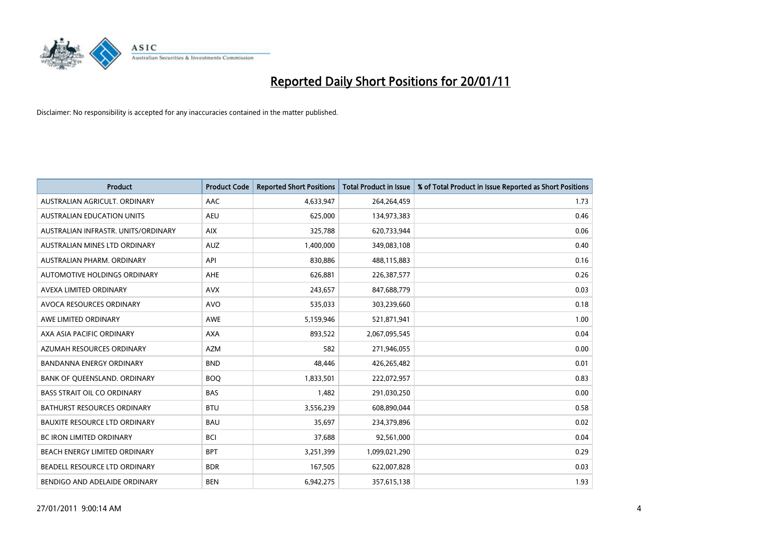

| Product                              | <b>Product Code</b> | <b>Reported Short Positions</b> | <b>Total Product in Issue</b> | % of Total Product in Issue Reported as Short Positions |
|--------------------------------------|---------------------|---------------------------------|-------------------------------|---------------------------------------------------------|
| AUSTRALIAN AGRICULT, ORDINARY        | AAC                 | 4,633,947                       | 264,264,459                   | 1.73                                                    |
| AUSTRALIAN EDUCATION UNITS           | <b>AEU</b>          | 625,000                         | 134,973,383                   | 0.46                                                    |
| AUSTRALIAN INFRASTR, UNITS/ORDINARY  | <b>AIX</b>          | 325,788                         | 620,733,944                   | 0.06                                                    |
| AUSTRALIAN MINES LTD ORDINARY        | <b>AUZ</b>          | 1,400,000                       | 349,083,108                   | 0.40                                                    |
| AUSTRALIAN PHARM, ORDINARY           | API                 | 830,886                         | 488,115,883                   | 0.16                                                    |
| AUTOMOTIVE HOLDINGS ORDINARY         | <b>AHE</b>          | 626,881                         | 226,387,577                   | 0.26                                                    |
| AVEXA LIMITED ORDINARY               | <b>AVX</b>          | 243,657                         | 847,688,779                   | 0.03                                                    |
| AVOCA RESOURCES ORDINARY             | <b>AVO</b>          | 535,033                         | 303,239,660                   | 0.18                                                    |
| AWE LIMITED ORDINARY                 | <b>AWE</b>          | 5,159,946                       | 521,871,941                   | 1.00                                                    |
| AXA ASIA PACIFIC ORDINARY            | <b>AXA</b>          | 893,522                         | 2,067,095,545                 | 0.04                                                    |
| AZUMAH RESOURCES ORDINARY            | <b>AZM</b>          | 582                             | 271,946,055                   | 0.00                                                    |
| <b>BANDANNA ENERGY ORDINARY</b>      | <b>BND</b>          | 48,446                          | 426,265,482                   | 0.01                                                    |
| BANK OF QUEENSLAND. ORDINARY         | <b>BOQ</b>          | 1,833,501                       | 222,072,957                   | 0.83                                                    |
| <b>BASS STRAIT OIL CO ORDINARY</b>   | <b>BAS</b>          | 1,482                           | 291,030,250                   | 0.00                                                    |
| <b>BATHURST RESOURCES ORDINARY</b>   | <b>BTU</b>          | 3,556,239                       | 608,890,044                   | 0.58                                                    |
| <b>BAUXITE RESOURCE LTD ORDINARY</b> | <b>BAU</b>          | 35,697                          | 234,379,896                   | 0.02                                                    |
| <b>BC IRON LIMITED ORDINARY</b>      | <b>BCI</b>          | 37,688                          | 92,561,000                    | 0.04                                                    |
| BEACH ENERGY LIMITED ORDINARY        | <b>BPT</b>          | 3,251,399                       | 1,099,021,290                 | 0.29                                                    |
| BEADELL RESOURCE LTD ORDINARY        | <b>BDR</b>          | 167,505                         | 622,007,828                   | 0.03                                                    |
| BENDIGO AND ADELAIDE ORDINARY        | <b>BEN</b>          | 6,942,275                       | 357,615,138                   | 1.93                                                    |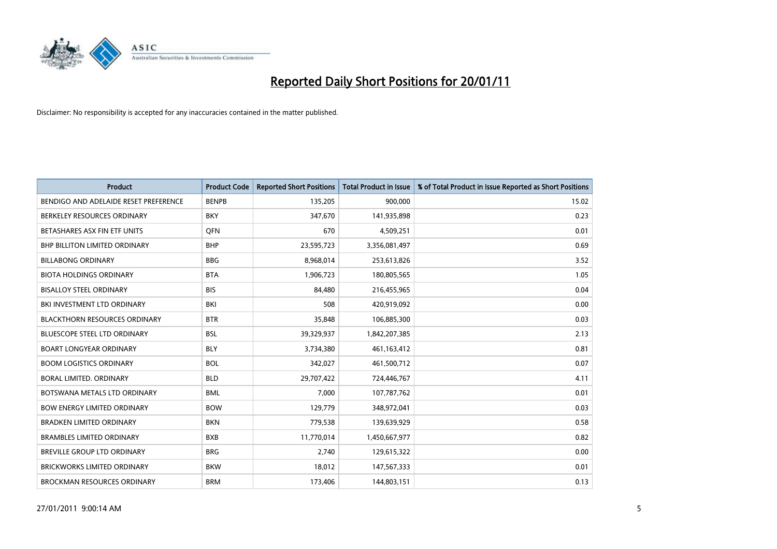

| <b>Product</b>                        | <b>Product Code</b> | <b>Reported Short Positions</b> | <b>Total Product in Issue</b> | % of Total Product in Issue Reported as Short Positions |
|---------------------------------------|---------------------|---------------------------------|-------------------------------|---------------------------------------------------------|
| BENDIGO AND ADELAIDE RESET PREFERENCE | <b>BENPB</b>        | 135,205                         | 900,000                       | 15.02                                                   |
| BERKELEY RESOURCES ORDINARY           | <b>BKY</b>          | 347,670                         | 141,935,898                   | 0.23                                                    |
| BETASHARES ASX FIN ETF UNITS          | <b>OFN</b>          | 670                             | 4,509,251                     | 0.01                                                    |
| BHP BILLITON LIMITED ORDINARY         | <b>BHP</b>          | 23,595,723                      | 3,356,081,497                 | 0.69                                                    |
| <b>BILLABONG ORDINARY</b>             | <b>BBG</b>          | 8,968,014                       | 253,613,826                   | 3.52                                                    |
| <b>BIOTA HOLDINGS ORDINARY</b>        | <b>BTA</b>          | 1,906,723                       | 180,805,565                   | 1.05                                                    |
| <b>BISALLOY STEEL ORDINARY</b>        | <b>BIS</b>          | 84,480                          | 216,455,965                   | 0.04                                                    |
| BKI INVESTMENT LTD ORDINARY           | <b>BKI</b>          | 508                             | 420,919,092                   | 0.00                                                    |
| <b>BLACKTHORN RESOURCES ORDINARY</b>  | <b>BTR</b>          | 35,848                          | 106,885,300                   | 0.03                                                    |
| <b>BLUESCOPE STEEL LTD ORDINARY</b>   | <b>BSL</b>          | 39,329,937                      | 1,842,207,385                 | 2.13                                                    |
| <b>BOART LONGYEAR ORDINARY</b>        | <b>BLY</b>          | 3,734,380                       | 461,163,412                   | 0.81                                                    |
| <b>BOOM LOGISTICS ORDINARY</b>        | <b>BOL</b>          | 342,027                         | 461,500,712                   | 0.07                                                    |
| BORAL LIMITED, ORDINARY               | <b>BLD</b>          | 29,707,422                      | 724,446,767                   | 4.11                                                    |
| BOTSWANA METALS LTD ORDINARY          | <b>BML</b>          | 7,000                           | 107,787,762                   | 0.01                                                    |
| <b>BOW ENERGY LIMITED ORDINARY</b>    | <b>BOW</b>          | 129,779                         | 348,972,041                   | 0.03                                                    |
| <b>BRADKEN LIMITED ORDINARY</b>       | <b>BKN</b>          | 779,538                         | 139,639,929                   | 0.58                                                    |
| <b>BRAMBLES LIMITED ORDINARY</b>      | <b>BXB</b>          | 11,770,014                      | 1,450,667,977                 | 0.82                                                    |
| BREVILLE GROUP LTD ORDINARY           | <b>BRG</b>          | 2,740                           | 129,615,322                   | 0.00                                                    |
| <b>BRICKWORKS LIMITED ORDINARY</b>    | <b>BKW</b>          | 18,012                          | 147,567,333                   | 0.01                                                    |
| <b>BROCKMAN RESOURCES ORDINARY</b>    | <b>BRM</b>          | 173,406                         | 144,803,151                   | 0.13                                                    |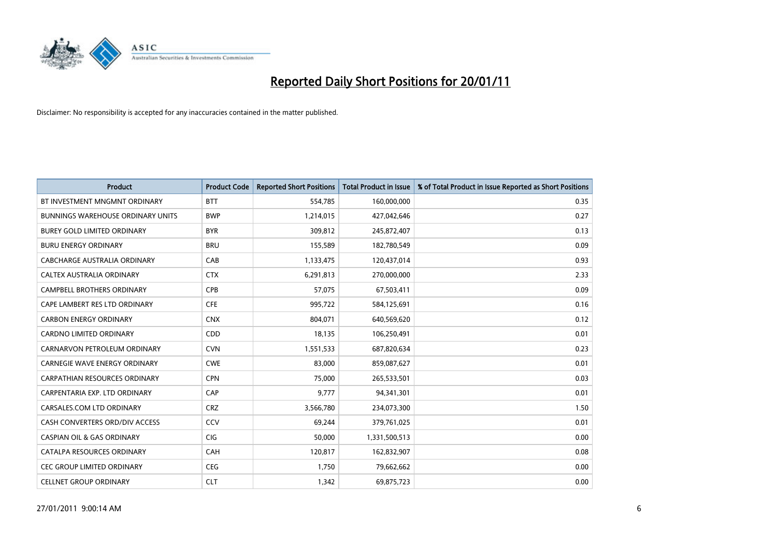

| Product                                  | <b>Product Code</b> | <b>Reported Short Positions</b> | <b>Total Product in Issue</b> | % of Total Product in Issue Reported as Short Positions |
|------------------------------------------|---------------------|---------------------------------|-------------------------------|---------------------------------------------------------|
| BT INVESTMENT MNGMNT ORDINARY            | <b>BTT</b>          | 554,785                         | 160,000,000                   | 0.35                                                    |
| <b>BUNNINGS WAREHOUSE ORDINARY UNITS</b> | <b>BWP</b>          | 1,214,015                       | 427,042,646                   | 0.27                                                    |
| <b>BUREY GOLD LIMITED ORDINARY</b>       | <b>BYR</b>          | 309,812                         | 245,872,407                   | 0.13                                                    |
| <b>BURU ENERGY ORDINARY</b>              | <b>BRU</b>          | 155,589                         | 182,780,549                   | 0.09                                                    |
| CABCHARGE AUSTRALIA ORDINARY             | CAB                 | 1,133,475                       | 120,437,014                   | 0.93                                                    |
| CALTEX AUSTRALIA ORDINARY                | <b>CTX</b>          | 6,291,813                       | 270,000,000                   | 2.33                                                    |
| <b>CAMPBELL BROTHERS ORDINARY</b>        | <b>CPB</b>          | 57,075                          | 67,503,411                    | 0.09                                                    |
| CAPE LAMBERT RES LTD ORDINARY            | <b>CFE</b>          | 995,722                         | 584,125,691                   | 0.16                                                    |
| <b>CARBON ENERGY ORDINARY</b>            | <b>CNX</b>          | 804,071                         | 640,569,620                   | 0.12                                                    |
| <b>CARDNO LIMITED ORDINARY</b>           | CDD                 | 18,135                          | 106,250,491                   | 0.01                                                    |
| CARNARVON PETROLEUM ORDINARY             | <b>CVN</b>          | 1,551,533                       | 687,820,634                   | 0.23                                                    |
| <b>CARNEGIE WAVE ENERGY ORDINARY</b>     | <b>CWE</b>          | 83,000                          | 859,087,627                   | 0.01                                                    |
| <b>CARPATHIAN RESOURCES ORDINARY</b>     | <b>CPN</b>          | 75,000                          | 265,533,501                   | 0.03                                                    |
| CARPENTARIA EXP. LTD ORDINARY            | CAP                 | 9.777                           | 94,341,301                    | 0.01                                                    |
| CARSALES.COM LTD ORDINARY                | <b>CRZ</b>          | 3,566,780                       | 234,073,300                   | 1.50                                                    |
| CASH CONVERTERS ORD/DIV ACCESS           | CCV                 | 69,244                          | 379,761,025                   | 0.01                                                    |
| <b>CASPIAN OIL &amp; GAS ORDINARY</b>    | <b>CIG</b>          | 50,000                          | 1,331,500,513                 | 0.00                                                    |
| CATALPA RESOURCES ORDINARY               | CAH                 | 120,817                         | 162,832,907                   | 0.08                                                    |
| <b>CEC GROUP LIMITED ORDINARY</b>        | <b>CEG</b>          | 1,750                           | 79,662,662                    | 0.00                                                    |
| <b>CELLNET GROUP ORDINARY</b>            | <b>CLT</b>          | 1,342                           | 69,875,723                    | 0.00                                                    |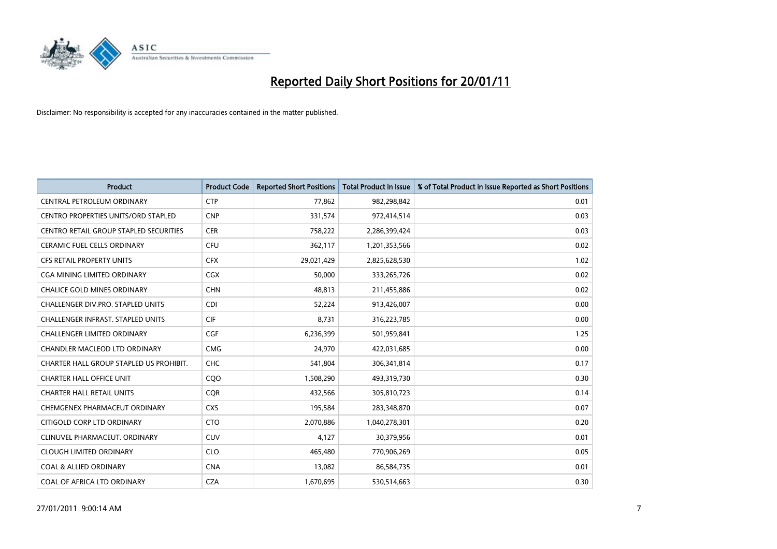

| <b>Product</b>                                | <b>Product Code</b> | <b>Reported Short Positions</b> | Total Product in Issue | % of Total Product in Issue Reported as Short Positions |
|-----------------------------------------------|---------------------|---------------------------------|------------------------|---------------------------------------------------------|
| CENTRAL PETROLEUM ORDINARY                    | <b>CTP</b>          | 77,862                          | 982,298,842            | 0.01                                                    |
| CENTRO PROPERTIES UNITS/ORD STAPLED           | <b>CNP</b>          | 331,574                         | 972,414,514            | 0.03                                                    |
| <b>CENTRO RETAIL GROUP STAPLED SECURITIES</b> | <b>CER</b>          | 758,222                         | 2,286,399,424          | 0.03                                                    |
| CERAMIC FUEL CELLS ORDINARY                   | <b>CFU</b>          | 362,117                         | 1,201,353,566          | 0.02                                                    |
| <b>CFS RETAIL PROPERTY UNITS</b>              | <b>CFX</b>          | 29,021,429                      | 2,825,628,530          | 1.02                                                    |
| <b>CGA MINING LIMITED ORDINARY</b>            | <b>CGX</b>          | 50,000                          | 333,265,726            | 0.02                                                    |
| <b>CHALICE GOLD MINES ORDINARY</b>            | <b>CHN</b>          | 48.813                          | 211,455,886            | 0.02                                                    |
| CHALLENGER DIV.PRO. STAPLED UNITS             | <b>CDI</b>          | 52,224                          | 913,426,007            | 0.00                                                    |
| CHALLENGER INFRAST. STAPLED UNITS             | <b>CIF</b>          | 8,731                           | 316,223,785            | 0.00                                                    |
| <b>CHALLENGER LIMITED ORDINARY</b>            | <b>CGF</b>          | 6,236,399                       | 501,959,841            | 1.25                                                    |
| CHANDLER MACLEOD LTD ORDINARY                 | <b>CMG</b>          | 24,970                          | 422,031,685            | 0.00                                                    |
| CHARTER HALL GROUP STAPLED US PROHIBIT.       | <b>CHC</b>          | 541,804                         | 306,341,814            | 0.17                                                    |
| <b>CHARTER HALL OFFICE UNIT</b>               | CQO                 | 1,508,290                       | 493,319,730            | 0.30                                                    |
| <b>CHARTER HALL RETAIL UNITS</b>              | <b>COR</b>          | 432,566                         | 305,810,723            | 0.14                                                    |
| CHEMGENEX PHARMACEUT ORDINARY                 | <b>CXS</b>          | 195,584                         | 283,348,870            | 0.07                                                    |
| CITIGOLD CORP LTD ORDINARY                    | <b>CTO</b>          | 2,070,886                       | 1,040,278,301          | 0.20                                                    |
| CLINUVEL PHARMACEUT, ORDINARY                 | <b>CUV</b>          | 4,127                           | 30,379,956             | 0.01                                                    |
| <b>CLOUGH LIMITED ORDINARY</b>                | <b>CLO</b>          | 465,480                         | 770,906,269            | 0.05                                                    |
| <b>COAL &amp; ALLIED ORDINARY</b>             | <b>CNA</b>          | 13,082                          | 86,584,735             | 0.01                                                    |
| COAL OF AFRICA LTD ORDINARY                   | <b>CZA</b>          | 1,670,695                       | 530,514,663            | 0.30                                                    |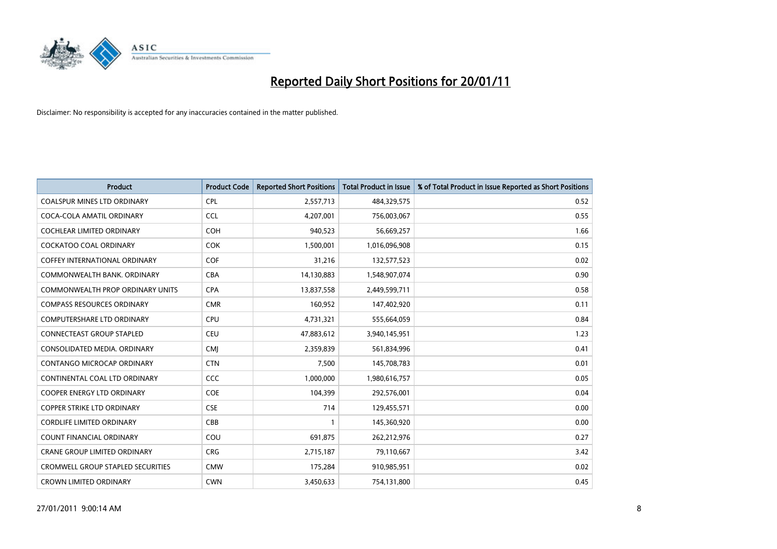

| <b>Product</b>                           | <b>Product Code</b> | <b>Reported Short Positions</b> | <b>Total Product in Issue</b> | % of Total Product in Issue Reported as Short Positions |
|------------------------------------------|---------------------|---------------------------------|-------------------------------|---------------------------------------------------------|
| <b>COALSPUR MINES LTD ORDINARY</b>       | <b>CPL</b>          | 2,557,713                       | 484,329,575                   | 0.52                                                    |
| COCA-COLA AMATIL ORDINARY                | <b>CCL</b>          | 4,207,001                       | 756,003,067                   | 0.55                                                    |
| <b>COCHLEAR LIMITED ORDINARY</b>         | <b>COH</b>          | 940,523                         | 56,669,257                    | 1.66                                                    |
| COCKATOO COAL ORDINARY                   | <b>COK</b>          | 1,500,001                       | 1,016,096,908                 | 0.15                                                    |
| <b>COFFEY INTERNATIONAL ORDINARY</b>     | <b>COF</b>          | 31,216                          | 132,577,523                   | 0.02                                                    |
| COMMONWEALTH BANK, ORDINARY              | <b>CBA</b>          | 14,130,883                      | 1,548,907,074                 | 0.90                                                    |
| <b>COMMONWEALTH PROP ORDINARY UNITS</b>  | <b>CPA</b>          | 13,837,558                      | 2,449,599,711                 | 0.58                                                    |
| <b>COMPASS RESOURCES ORDINARY</b>        | <b>CMR</b>          | 160,952                         | 147,402,920                   | 0.11                                                    |
| <b>COMPUTERSHARE LTD ORDINARY</b>        | <b>CPU</b>          | 4,731,321                       | 555,664,059                   | 0.84                                                    |
| <b>CONNECTEAST GROUP STAPLED</b>         | <b>CEU</b>          | 47,883,612                      | 3,940,145,951                 | 1.23                                                    |
| CONSOLIDATED MEDIA, ORDINARY             | <b>CMI</b>          | 2,359,839                       | 561,834,996                   | 0.41                                                    |
| <b>CONTANGO MICROCAP ORDINARY</b>        | <b>CTN</b>          | 7,500                           | 145,708,783                   | 0.01                                                    |
| CONTINENTAL COAL LTD ORDINARY            | <b>CCC</b>          | 1,000,000                       | 1,980,616,757                 | 0.05                                                    |
| <b>COOPER ENERGY LTD ORDINARY</b>        | <b>COE</b>          | 104,399                         | 292,576,001                   | 0.04                                                    |
| <b>COPPER STRIKE LTD ORDINARY</b>        | <b>CSE</b>          | 714                             | 129,455,571                   | 0.00                                                    |
| <b>CORDLIFE LIMITED ORDINARY</b>         | CBB                 |                                 | 145,360,920                   | 0.00                                                    |
| <b>COUNT FINANCIAL ORDINARY</b>          | COU                 | 691,875                         | 262,212,976                   | 0.27                                                    |
| <b>CRANE GROUP LIMITED ORDINARY</b>      | <b>CRG</b>          | 2,715,187                       | 79,110,667                    | 3.42                                                    |
| <b>CROMWELL GROUP STAPLED SECURITIES</b> | <b>CMW</b>          | 175,284                         | 910,985,951                   | 0.02                                                    |
| <b>CROWN LIMITED ORDINARY</b>            | <b>CWN</b>          | 3,450,633                       | 754,131,800                   | 0.45                                                    |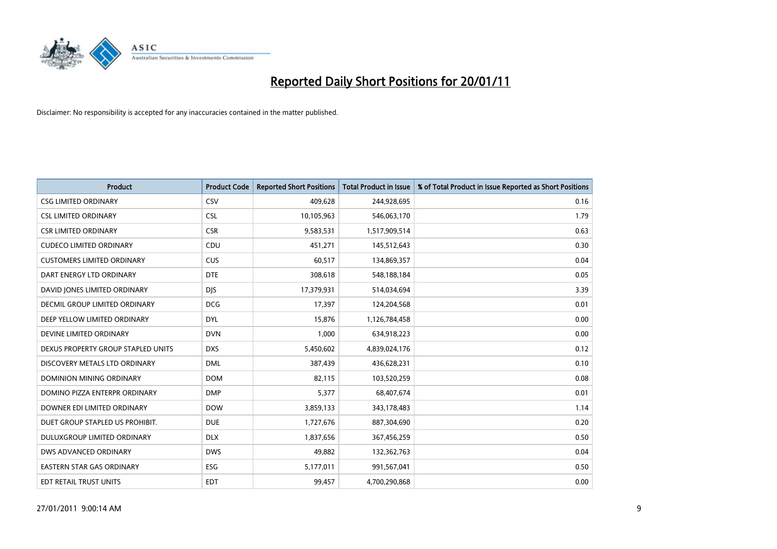

| <b>Product</b>                       | <b>Product Code</b> | <b>Reported Short Positions</b> | <b>Total Product in Issue</b> | % of Total Product in Issue Reported as Short Positions |
|--------------------------------------|---------------------|---------------------------------|-------------------------------|---------------------------------------------------------|
| <b>CSG LIMITED ORDINARY</b>          | <b>CSV</b>          | 409,628                         | 244,928,695                   | 0.16                                                    |
| <b>CSL LIMITED ORDINARY</b>          | <b>CSL</b>          | 10,105,963                      | 546,063,170                   | 1.79                                                    |
| <b>CSR LIMITED ORDINARY</b>          | <b>CSR</b>          | 9,583,531                       | 1,517,909,514                 | 0.63                                                    |
| <b>CUDECO LIMITED ORDINARY</b>       | CDU                 | 451,271                         | 145,512,643                   | 0.30                                                    |
| <b>CUSTOMERS LIMITED ORDINARY</b>    | <b>CUS</b>          | 60,517                          | 134,869,357                   | 0.04                                                    |
| DART ENERGY LTD ORDINARY             | <b>DTE</b>          | 308,618                         | 548,188,184                   | 0.05                                                    |
| DAVID JONES LIMITED ORDINARY         | <b>DIS</b>          | 17,379,931                      | 514,034,694                   | 3.39                                                    |
| <b>DECMIL GROUP LIMITED ORDINARY</b> | <b>DCG</b>          | 17,397                          | 124,204,568                   | 0.01                                                    |
| DEEP YELLOW LIMITED ORDINARY         | <b>DYL</b>          | 15,876                          | 1,126,784,458                 | 0.00                                                    |
| DEVINE LIMITED ORDINARY              | <b>DVN</b>          | 1,000                           | 634,918,223                   | 0.00                                                    |
| DEXUS PROPERTY GROUP STAPLED UNITS   | <b>DXS</b>          | 5,450,602                       | 4,839,024,176                 | 0.12                                                    |
| DISCOVERY METALS LTD ORDINARY        | <b>DML</b>          | 387,439                         | 436,628,231                   | 0.10                                                    |
| DOMINION MINING ORDINARY             | <b>DOM</b>          | 82,115                          | 103,520,259                   | 0.08                                                    |
| DOMINO PIZZA ENTERPR ORDINARY        | <b>DMP</b>          | 5,377                           | 68,407,674                    | 0.01                                                    |
| DOWNER EDI LIMITED ORDINARY          | <b>DOW</b>          | 3,859,133                       | 343,178,483                   | 1.14                                                    |
| DUET GROUP STAPLED US PROHIBIT.      | <b>DUE</b>          | 1,727,676                       | 887,304,690                   | 0.20                                                    |
| <b>DULUXGROUP LIMITED ORDINARY</b>   | <b>DLX</b>          | 1,837,656                       | 367,456,259                   | 0.50                                                    |
| DWS ADVANCED ORDINARY                | <b>DWS</b>          | 49,882                          | 132,362,763                   | 0.04                                                    |
| <b>EASTERN STAR GAS ORDINARY</b>     | <b>ESG</b>          | 5,177,011                       | 991,567,041                   | 0.50                                                    |
| <b>EDT RETAIL TRUST UNITS</b>        | <b>EDT</b>          | 99,457                          | 4,700,290,868                 | 0.00                                                    |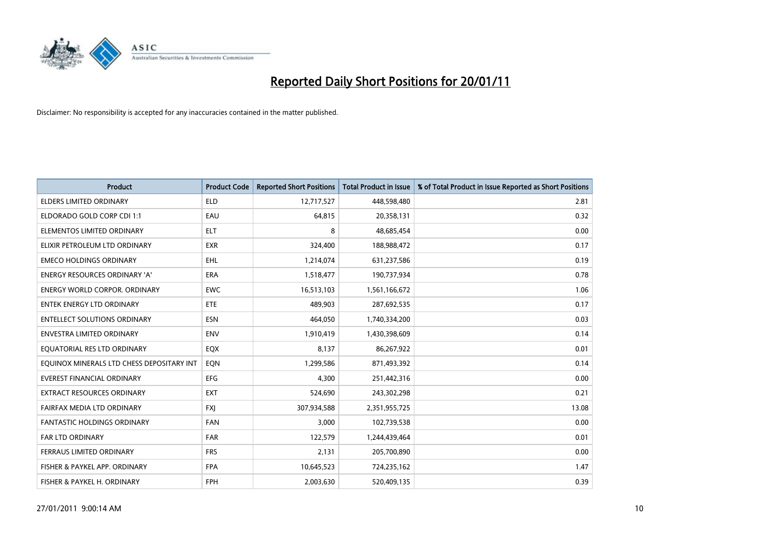

| <b>Product</b>                            | <b>Product Code</b> | <b>Reported Short Positions</b> | Total Product in Issue | % of Total Product in Issue Reported as Short Positions |
|-------------------------------------------|---------------------|---------------------------------|------------------------|---------------------------------------------------------|
| <b>ELDERS LIMITED ORDINARY</b>            | <b>ELD</b>          | 12,717,527                      | 448,598,480            | 2.81                                                    |
| ELDORADO GOLD CORP CDI 1:1                | EAU                 | 64,815                          | 20,358,131             | 0.32                                                    |
| ELEMENTOS LIMITED ORDINARY                | ELT                 | 8                               | 48,685,454             | 0.00                                                    |
| ELIXIR PETROLEUM LTD ORDINARY             | <b>EXR</b>          | 324,400                         | 188,988,472            | 0.17                                                    |
| <b>EMECO HOLDINGS ORDINARY</b>            | <b>EHL</b>          | 1,214,074                       | 631,237,586            | 0.19                                                    |
| <b>ENERGY RESOURCES ORDINARY 'A'</b>      | <b>ERA</b>          | 1,518,477                       | 190,737,934            | 0.78                                                    |
| <b>ENERGY WORLD CORPOR, ORDINARY</b>      | <b>EWC</b>          | 16,513,103                      | 1,561,166,672          | 1.06                                                    |
| ENTEK ENERGY LTD ORDINARY                 | <b>ETE</b>          | 489,903                         | 287,692,535            | 0.17                                                    |
| <b>ENTELLECT SOLUTIONS ORDINARY</b>       | <b>ESN</b>          | 464,050                         | 1,740,334,200          | 0.03                                                    |
| <b>ENVESTRA LIMITED ORDINARY</b>          | <b>ENV</b>          | 1,910,419                       | 1,430,398,609          | 0.14                                                    |
| EQUATORIAL RES LTD ORDINARY               | EQX                 | 8,137                           | 86,267,922             | 0.01                                                    |
| EQUINOX MINERALS LTD CHESS DEPOSITARY INT | EON                 | 1,299,586                       | 871,493,392            | 0.14                                                    |
| <b>EVEREST FINANCIAL ORDINARY</b>         | <b>EFG</b>          | 4,300                           | 251,442,316            | 0.00                                                    |
| <b>EXTRACT RESOURCES ORDINARY</b>         | <b>EXT</b>          | 524,690                         | 243,302,298            | 0.21                                                    |
| FAIRFAX MEDIA LTD ORDINARY                | <b>FXJ</b>          | 307,934,588                     | 2,351,955,725          | 13.08                                                   |
| FANTASTIC HOLDINGS ORDINARY               | <b>FAN</b>          | 3,000                           | 102,739,538            | 0.00                                                    |
| FAR LTD ORDINARY                          | FAR                 | 122,579                         | 1,244,439,464          | 0.01                                                    |
| FERRAUS LIMITED ORDINARY                  | <b>FRS</b>          | 2,131                           | 205,700,890            | 0.00                                                    |
| FISHER & PAYKEL APP. ORDINARY             | <b>FPA</b>          | 10,645,523                      | 724,235,162            | 1.47                                                    |
| FISHER & PAYKEL H. ORDINARY               | <b>FPH</b>          | 2,003,630                       | 520,409,135            | 0.39                                                    |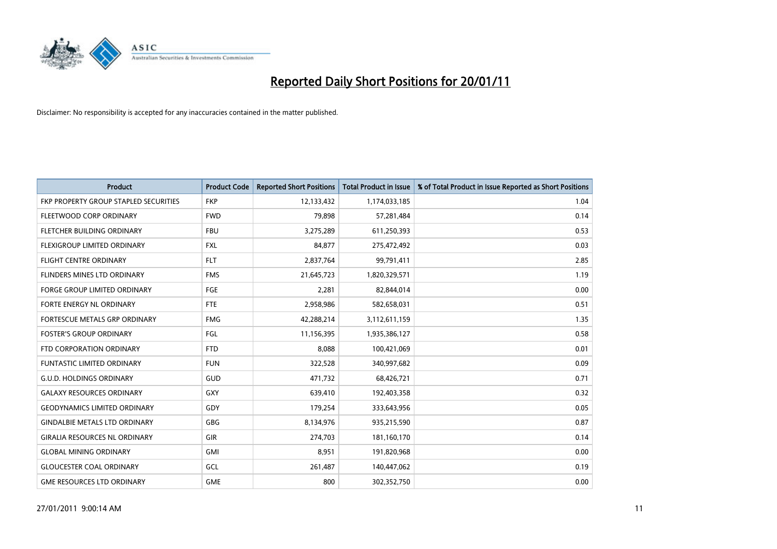

| <b>Product</b>                        | <b>Product Code</b> | <b>Reported Short Positions</b> | Total Product in Issue | % of Total Product in Issue Reported as Short Positions |
|---------------------------------------|---------------------|---------------------------------|------------------------|---------------------------------------------------------|
| FKP PROPERTY GROUP STAPLED SECURITIES | <b>FKP</b>          | 12,133,432                      | 1,174,033,185          | 1.04                                                    |
| FLEETWOOD CORP ORDINARY               | <b>FWD</b>          | 79,898                          | 57,281,484             | 0.14                                                    |
| FLETCHER BUILDING ORDINARY            | <b>FBU</b>          | 3,275,289                       | 611,250,393            | 0.53                                                    |
| FLEXIGROUP LIMITED ORDINARY           | <b>FXL</b>          | 84,877                          | 275,472,492            | 0.03                                                    |
| <b>FLIGHT CENTRE ORDINARY</b>         | <b>FLT</b>          | 2,837,764                       | 99,791,411             | 2.85                                                    |
| FLINDERS MINES LTD ORDINARY           | <b>FMS</b>          | 21,645,723                      | 1,820,329,571          | 1.19                                                    |
| <b>FORGE GROUP LIMITED ORDINARY</b>   | FGE                 | 2,281                           | 82,844,014             | 0.00                                                    |
| <b>FORTE ENERGY NL ORDINARY</b>       | FTE                 | 2,958,986                       | 582,658,031            | 0.51                                                    |
| FORTESCUE METALS GRP ORDINARY         | <b>FMG</b>          | 42,288,214                      | 3,112,611,159          | 1.35                                                    |
| <b>FOSTER'S GROUP ORDINARY</b>        | FGL                 | 11,156,395                      | 1,935,386,127          | 0.58                                                    |
| FTD CORPORATION ORDINARY              | <b>FTD</b>          | 8,088                           | 100,421,069            | 0.01                                                    |
| <b>FUNTASTIC LIMITED ORDINARY</b>     | <b>FUN</b>          | 322,528                         | 340,997,682            | 0.09                                                    |
| <b>G.U.D. HOLDINGS ORDINARY</b>       | GUD                 | 471,732                         | 68,426,721             | 0.71                                                    |
| <b>GALAXY RESOURCES ORDINARY</b>      | GXY                 | 639,410                         | 192,403,358            | 0.32                                                    |
| <b>GEODYNAMICS LIMITED ORDINARY</b>   | GDY                 | 179,254                         | 333,643,956            | 0.05                                                    |
| <b>GINDALBIE METALS LTD ORDINARY</b>  | <b>GBG</b>          | 8,134,976                       | 935,215,590            | 0.87                                                    |
| <b>GIRALIA RESOURCES NL ORDINARY</b>  | GIR                 | 274,703                         | 181,160,170            | 0.14                                                    |
| <b>GLOBAL MINING ORDINARY</b>         | <b>GMI</b>          | 8,951                           | 191,820,968            | 0.00                                                    |
| <b>GLOUCESTER COAL ORDINARY</b>       | GCL                 | 261,487                         | 140,447,062            | 0.19                                                    |
| <b>GME RESOURCES LTD ORDINARY</b>     | <b>GME</b>          | 800                             | 302,352,750            | 0.00                                                    |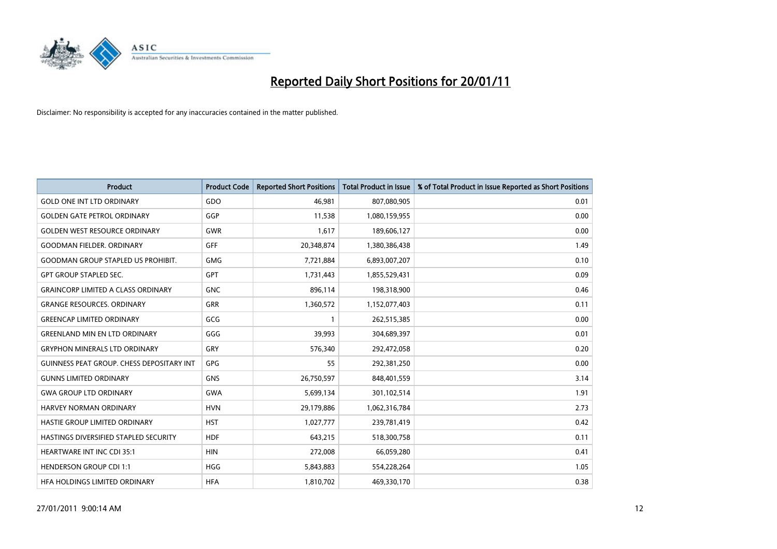

| <b>Product</b>                                   | <b>Product Code</b> | <b>Reported Short Positions</b> | Total Product in Issue | % of Total Product in Issue Reported as Short Positions |
|--------------------------------------------------|---------------------|---------------------------------|------------------------|---------------------------------------------------------|
| <b>GOLD ONE INT LTD ORDINARY</b>                 | GDO                 | 46,981                          | 807,080,905            | 0.01                                                    |
| <b>GOLDEN GATE PETROL ORDINARY</b>               | GGP                 | 11,538                          | 1,080,159,955          | 0.00                                                    |
| <b>GOLDEN WEST RESOURCE ORDINARY</b>             | <b>GWR</b>          | 1,617                           | 189,606,127            | 0.00                                                    |
| <b>GOODMAN FIELDER. ORDINARY</b>                 | <b>GFF</b>          | 20,348,874                      | 1,380,386,438          | 1.49                                                    |
| <b>GOODMAN GROUP STAPLED US PROHIBIT.</b>        | <b>GMG</b>          | 7,721,884                       | 6,893,007,207          | 0.10                                                    |
| <b>GPT GROUP STAPLED SEC.</b>                    | GPT                 | 1,731,443                       | 1,855,529,431          | 0.09                                                    |
| <b>GRAINCORP LIMITED A CLASS ORDINARY</b>        | <b>GNC</b>          | 896,114                         | 198,318,900            | 0.46                                                    |
| <b>GRANGE RESOURCES, ORDINARY</b>                | <b>GRR</b>          | 1,360,572                       | 1,152,077,403          | 0.11                                                    |
| <b>GREENCAP LIMITED ORDINARY</b>                 | GCG                 |                                 | 262,515,385            | 0.00                                                    |
| <b>GREENLAND MIN EN LTD ORDINARY</b>             | GGG                 | 39.993                          | 304,689,397            | 0.01                                                    |
| <b>GRYPHON MINERALS LTD ORDINARY</b>             | <b>GRY</b>          | 576,340                         | 292,472,058            | 0.20                                                    |
| <b>GUINNESS PEAT GROUP. CHESS DEPOSITARY INT</b> | <b>GPG</b>          | 55                              | 292,381,250            | 0.00                                                    |
| <b>GUNNS LIMITED ORDINARY</b>                    | <b>GNS</b>          | 26,750,597                      | 848,401,559            | 3.14                                                    |
| <b>GWA GROUP LTD ORDINARY</b>                    | <b>GWA</b>          | 5,699,134                       | 301,102,514            | 1.91                                                    |
| <b>HARVEY NORMAN ORDINARY</b>                    | <b>HVN</b>          | 29,179,886                      | 1,062,316,784          | 2.73                                                    |
| HASTIE GROUP LIMITED ORDINARY                    | <b>HST</b>          | 1,027,777                       | 239,781,419            | 0.42                                                    |
| HASTINGS DIVERSIFIED STAPLED SECURITY            | <b>HDF</b>          | 643,215                         | 518,300,758            | 0.11                                                    |
| HEARTWARE INT INC CDI 35:1                       | <b>HIN</b>          | 272,008                         | 66,059,280             | 0.41                                                    |
| <b>HENDERSON GROUP CDI 1:1</b>                   | <b>HGG</b>          | 5,843,883                       | 554,228,264            | 1.05                                                    |
| HFA HOLDINGS LIMITED ORDINARY                    | <b>HFA</b>          | 1.810.702                       | 469,330,170            | 0.38                                                    |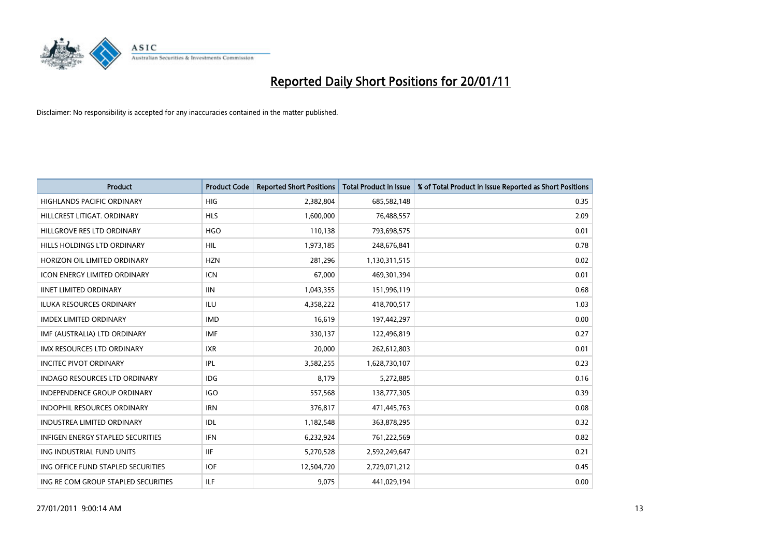

| <b>Product</b>                           | <b>Product Code</b> | <b>Reported Short Positions</b> | <b>Total Product in Issue</b> | % of Total Product in Issue Reported as Short Positions |
|------------------------------------------|---------------------|---------------------------------|-------------------------------|---------------------------------------------------------|
| <b>HIGHLANDS PACIFIC ORDINARY</b>        | <b>HIG</b>          | 2,382,804                       | 685,582,148                   | 0.35                                                    |
| HILLCREST LITIGAT. ORDINARY              | <b>HLS</b>          | 1,600,000                       | 76,488,557                    | 2.09                                                    |
| HILLGROVE RES LTD ORDINARY               | <b>HGO</b>          | 110,138                         | 793,698,575                   | 0.01                                                    |
| HILLS HOLDINGS LTD ORDINARY              | HIL                 | 1,973,185                       | 248,676,841                   | 0.78                                                    |
| HORIZON OIL LIMITED ORDINARY             | <b>HZN</b>          | 281,296                         | 1,130,311,515                 | 0.02                                                    |
| <b>ICON ENERGY LIMITED ORDINARY</b>      | <b>ICN</b>          | 67,000                          | 469,301,394                   | 0.01                                                    |
| <b>IINET LIMITED ORDINARY</b>            | <b>IIN</b>          | 1,043,355                       | 151,996,119                   | 0.68                                                    |
| ILUKA RESOURCES ORDINARY                 | <b>ILU</b>          | 4,358,222                       | 418,700,517                   | 1.03                                                    |
| <b>IMDEX LIMITED ORDINARY</b>            | <b>IMD</b>          | 16,619                          | 197,442,297                   | 0.00                                                    |
| IMF (AUSTRALIA) LTD ORDINARY             | <b>IMF</b>          | 330,137                         | 122,496,819                   | 0.27                                                    |
| <b>IMX RESOURCES LTD ORDINARY</b>        | <b>IXR</b>          | 20,000                          | 262,612,803                   | 0.01                                                    |
| <b>INCITEC PIVOT ORDINARY</b>            | IPL                 | 3,582,255                       | 1,628,730,107                 | 0.23                                                    |
| <b>INDAGO RESOURCES LTD ORDINARY</b>     | <b>IDG</b>          | 8,179                           | 5,272,885                     | 0.16                                                    |
| <b>INDEPENDENCE GROUP ORDINARY</b>       | <b>IGO</b>          | 557,568                         | 138,777,305                   | 0.39                                                    |
| <b>INDOPHIL RESOURCES ORDINARY</b>       | <b>IRN</b>          | 376,817                         | 471,445,763                   | 0.08                                                    |
| <b>INDUSTREA LIMITED ORDINARY</b>        | IDL                 | 1,182,548                       | 363,878,295                   | 0.32                                                    |
| <b>INFIGEN ENERGY STAPLED SECURITIES</b> | <b>IFN</b>          | 6,232,924                       | 761,222,569                   | 0.82                                                    |
| ING INDUSTRIAL FUND UNITS                | <b>IIF</b>          | 5,270,528                       | 2,592,249,647                 | 0.21                                                    |
| ING OFFICE FUND STAPLED SECURITIES       | <b>IOF</b>          | 12,504,720                      | 2,729,071,212                 | 0.45                                                    |
| ING RE COM GROUP STAPLED SECURITIES      | ILF                 | 9,075                           | 441,029,194                   | 0.00                                                    |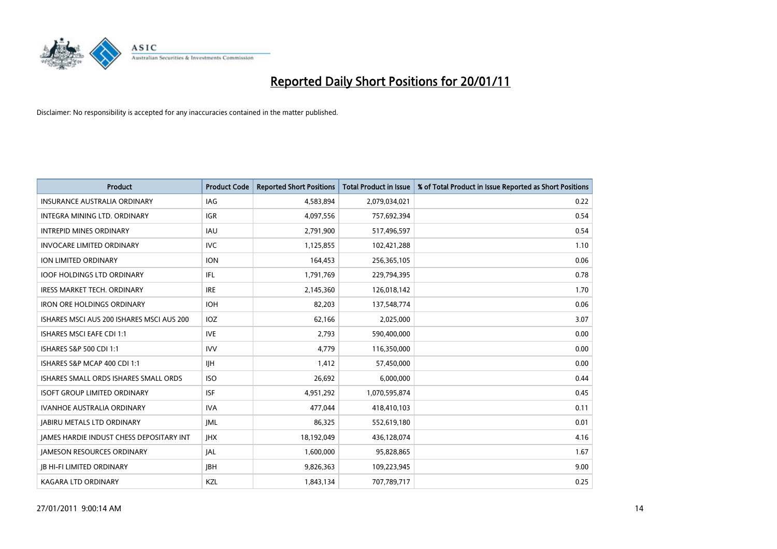

| Product                                   | <b>Product Code</b> | <b>Reported Short Positions</b> | Total Product in Issue | % of Total Product in Issue Reported as Short Positions |
|-------------------------------------------|---------------------|---------------------------------|------------------------|---------------------------------------------------------|
| <b>INSURANCE AUSTRALIA ORDINARY</b>       | IAG                 | 4,583,894                       | 2,079,034,021          | 0.22                                                    |
| <b>INTEGRA MINING LTD, ORDINARY</b>       | <b>IGR</b>          | 4,097,556                       | 757,692,394            | 0.54                                                    |
| <b>INTREPID MINES ORDINARY</b>            | <b>IAU</b>          | 2,791,900                       | 517,496,597            | 0.54                                                    |
| <b>INVOCARE LIMITED ORDINARY</b>          | <b>IVC</b>          | 1,125,855                       | 102,421,288            | 1.10                                                    |
| <b>ION LIMITED ORDINARY</b>               | <b>ION</b>          | 164,453                         | 256,365,105            | 0.06                                                    |
| <b>IOOF HOLDINGS LTD ORDINARY</b>         | IFL                 | 1,791,769                       | 229,794,395            | 0.78                                                    |
| <b>IRESS MARKET TECH. ORDINARY</b>        | <b>IRE</b>          | 2,145,360                       | 126,018,142            | 1.70                                                    |
| <b>IRON ORE HOLDINGS ORDINARY</b>         | <b>IOH</b>          | 82,203                          | 137,548,774            | 0.06                                                    |
| ISHARES MSCI AUS 200 ISHARES MSCI AUS 200 | IOZ                 | 62,166                          | 2,025,000              | 3.07                                                    |
| <b>ISHARES MSCI EAFE CDI 1:1</b>          | <b>IVE</b>          | 2,793                           | 590,400,000            | 0.00                                                    |
| ISHARES S&P 500 CDI 1:1                   | <b>IVV</b>          | 4,779                           | 116,350,000            | 0.00                                                    |
| ISHARES S&P MCAP 400 CDI 1:1              | <b>IIH</b>          | 1,412                           | 57,450,000             | 0.00                                                    |
| ISHARES SMALL ORDS ISHARES SMALL ORDS     | <b>ISO</b>          | 26,692                          | 6,000,000              | 0.44                                                    |
| <b>ISOFT GROUP LIMITED ORDINARY</b>       | <b>ISF</b>          | 4,951,292                       | 1,070,595,874          | 0.45                                                    |
| <b>IVANHOE AUSTRALIA ORDINARY</b>         | <b>IVA</b>          | 477,044                         | 418,410,103            | 0.11                                                    |
| <b>JABIRU METALS LTD ORDINARY</b>         | IML                 | 86,325                          | 552,619,180            | 0.01                                                    |
| JAMES HARDIE INDUST CHESS DEPOSITARY INT  | <b>JHX</b>          | 18,192,049                      | 436,128,074            | 4.16                                                    |
| <b>JAMESON RESOURCES ORDINARY</b>         | <b>JAL</b>          | 1,600,000                       | 95,828,865             | 1.67                                                    |
| <b>JB HI-FI LIMITED ORDINARY</b>          | <b>IBH</b>          | 9,826,363                       | 109,223,945            | 9.00                                                    |
| KAGARA LTD ORDINARY                       | KZL                 | 1.843.134                       | 707,789,717            | 0.25                                                    |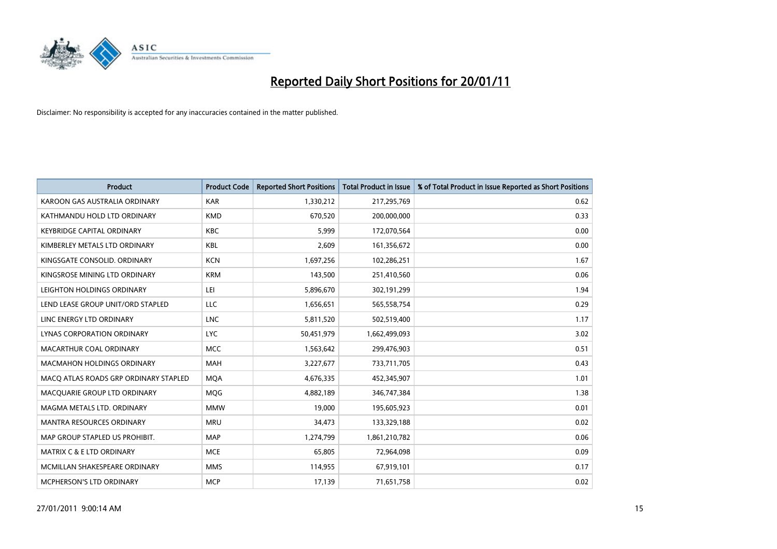

| <b>Product</b>                        | <b>Product Code</b> | <b>Reported Short Positions</b> | Total Product in Issue | % of Total Product in Issue Reported as Short Positions |
|---------------------------------------|---------------------|---------------------------------|------------------------|---------------------------------------------------------|
| KAROON GAS AUSTRALIA ORDINARY         | <b>KAR</b>          | 1,330,212                       | 217,295,769            | 0.62                                                    |
| KATHMANDU HOLD LTD ORDINARY           | <b>KMD</b>          | 670,520                         | 200,000,000            | 0.33                                                    |
| <b>KEYBRIDGE CAPITAL ORDINARY</b>     | <b>KBC</b>          | 5,999                           | 172,070,564            | 0.00                                                    |
| KIMBERLEY METALS LTD ORDINARY         | <b>KBL</b>          | 2,609                           | 161,356,672            | 0.00                                                    |
| KINGSGATE CONSOLID, ORDINARY          | <b>KCN</b>          | 1,697,256                       | 102,286,251            | 1.67                                                    |
| KINGSROSE MINING LTD ORDINARY         | <b>KRM</b>          | 143,500                         | 251,410,560            | 0.06                                                    |
| LEIGHTON HOLDINGS ORDINARY            | LEI                 | 5,896,670                       | 302,191,299            | 1.94                                                    |
| LEND LEASE GROUP UNIT/ORD STAPLED     | LLC                 | 1,656,651                       | 565,558,754            | 0.29                                                    |
| LINC ENERGY LTD ORDINARY              | <b>LNC</b>          | 5,811,520                       | 502,519,400            | 1.17                                                    |
| <b>LYNAS CORPORATION ORDINARY</b>     | <b>LYC</b>          | 50,451,979                      | 1,662,499,093          | 3.02                                                    |
| MACARTHUR COAL ORDINARY               | <b>MCC</b>          | 1,563,642                       | 299,476,903            | 0.51                                                    |
| <b>MACMAHON HOLDINGS ORDINARY</b>     | MAH                 | 3,227,677                       | 733,711,705            | 0.43                                                    |
| MACQ ATLAS ROADS GRP ORDINARY STAPLED | <b>MOA</b>          | 4,676,335                       | 452,345,907            | 1.01                                                    |
| MACOUARIE GROUP LTD ORDINARY          | <b>MOG</b>          | 4,882,189                       | 346,747,384            | 1.38                                                    |
| MAGMA METALS LTD. ORDINARY            | <b>MMW</b>          | 19,000                          | 195,605,923            | 0.01                                                    |
| <b>MANTRA RESOURCES ORDINARY</b>      | <b>MRU</b>          | 34,473                          | 133,329,188            | 0.02                                                    |
| MAP GROUP STAPLED US PROHIBIT.        | <b>MAP</b>          | 1,274,799                       | 1,861,210,782          | 0.06                                                    |
| MATRIX C & E LTD ORDINARY             | <b>MCE</b>          | 65,805                          | 72,964,098             | 0.09                                                    |
| MCMILLAN SHAKESPEARE ORDINARY         | <b>MMS</b>          | 114,955                         | 67,919,101             | 0.17                                                    |
| MCPHERSON'S LTD ORDINARY              | <b>MCP</b>          | 17,139                          | 71,651,758             | 0.02                                                    |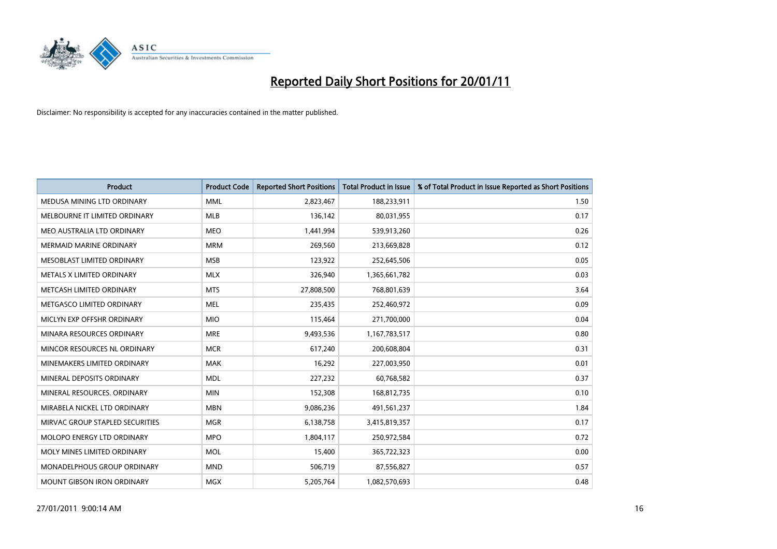

| Product                           | <b>Product Code</b> | <b>Reported Short Positions</b> | Total Product in Issue | % of Total Product in Issue Reported as Short Positions |
|-----------------------------------|---------------------|---------------------------------|------------------------|---------------------------------------------------------|
| MEDUSA MINING LTD ORDINARY        | <b>MML</b>          | 2,823,467                       | 188,233,911            | 1.50                                                    |
| MELBOURNE IT LIMITED ORDINARY     | <b>MLB</b>          | 136,142                         | 80,031,955             | 0.17                                                    |
| MEO AUSTRALIA LTD ORDINARY        | <b>MEO</b>          | 1,441,994                       | 539,913,260            | 0.26                                                    |
| MERMAID MARINE ORDINARY           | <b>MRM</b>          | 269,560                         | 213,669,828            | 0.12                                                    |
| MESOBLAST LIMITED ORDINARY        | <b>MSB</b>          | 123,922                         | 252,645,506            | 0.05                                                    |
| METALS X LIMITED ORDINARY         | <b>MLX</b>          | 326,940                         | 1,365,661,782          | 0.03                                                    |
| METCASH LIMITED ORDINARY          | <b>MTS</b>          | 27,808,500                      | 768,801,639            | 3.64                                                    |
| METGASCO LIMITED ORDINARY         | <b>MEL</b>          | 235,435                         | 252,460,972            | 0.09                                                    |
| MICLYN EXP OFFSHR ORDINARY        | <b>MIO</b>          | 115,464                         | 271,700,000            | 0.04                                                    |
| MINARA RESOURCES ORDINARY         | <b>MRE</b>          | 9,493,536                       | 1,167,783,517          | 0.80                                                    |
| MINCOR RESOURCES NL ORDINARY      | <b>MCR</b>          | 617,240                         | 200,608,804            | 0.31                                                    |
| MINEMAKERS LIMITED ORDINARY       | <b>MAK</b>          | 16,292                          | 227,003,950            | 0.01                                                    |
| MINERAL DEPOSITS ORDINARY         | <b>MDL</b>          | 227,232                         | 60,768,582             | 0.37                                                    |
| MINERAL RESOURCES, ORDINARY       | <b>MIN</b>          | 152,308                         | 168,812,735            | 0.10                                                    |
| MIRABELA NICKEL LTD ORDINARY      | <b>MBN</b>          | 9,086,236                       | 491,561,237            | 1.84                                                    |
| MIRVAC GROUP STAPLED SECURITIES   | <b>MGR</b>          | 6,138,758                       | 3,415,819,357          | 0.17                                                    |
| MOLOPO ENERGY LTD ORDINARY        | <b>MPO</b>          | 1,804,117                       | 250,972,584            | 0.72                                                    |
| MOLY MINES LIMITED ORDINARY       | <b>MOL</b>          | 15,400                          | 365,722,323            | 0.00                                                    |
| MONADELPHOUS GROUP ORDINARY       | <b>MND</b>          | 506,719                         | 87,556,827             | 0.57                                                    |
| <b>MOUNT GIBSON IRON ORDINARY</b> | <b>MGX</b>          | 5,205,764                       | 1,082,570,693          | 0.48                                                    |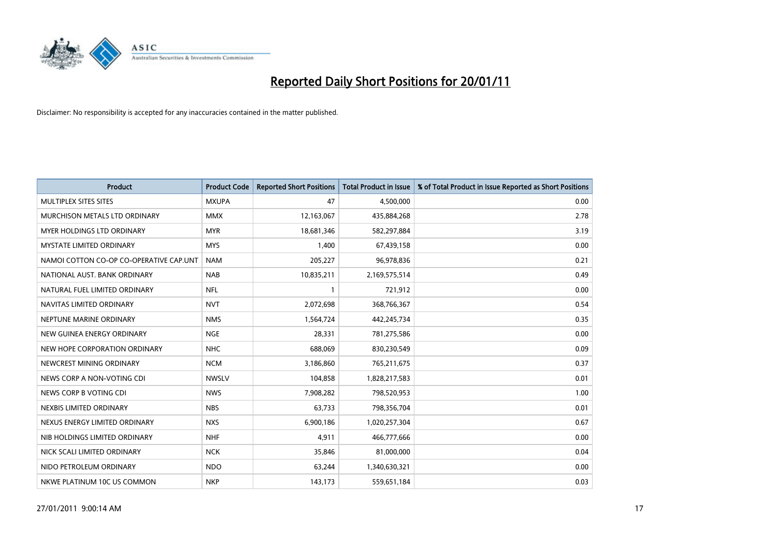

| Product                                 | <b>Product Code</b> | <b>Reported Short Positions</b> | Total Product in Issue | % of Total Product in Issue Reported as Short Positions |
|-----------------------------------------|---------------------|---------------------------------|------------------------|---------------------------------------------------------|
| MULTIPLEX SITES SITES                   | <b>MXUPA</b>        | 47                              | 4,500,000              | 0.00                                                    |
| MURCHISON METALS LTD ORDINARY           | <b>MMX</b>          | 12,163,067                      | 435,884,268            | 2.78                                                    |
| <b>MYER HOLDINGS LTD ORDINARY</b>       | <b>MYR</b>          | 18,681,346                      | 582,297,884            | 3.19                                                    |
| MYSTATE LIMITED ORDINARY                | <b>MYS</b>          | 1,400                           | 67,439,158             | 0.00                                                    |
| NAMOI COTTON CO-OP CO-OPERATIVE CAP.UNT | <b>NAM</b>          | 205,227                         | 96,978,836             | 0.21                                                    |
| NATIONAL AUST. BANK ORDINARY            | <b>NAB</b>          | 10,835,211                      | 2,169,575,514          | 0.49                                                    |
| NATURAL FUEL LIMITED ORDINARY           | <b>NFL</b>          |                                 | 721,912                | 0.00                                                    |
| NAVITAS LIMITED ORDINARY                | <b>NVT</b>          | 2,072,698                       | 368,766,367            | 0.54                                                    |
| NEPTUNE MARINE ORDINARY                 | <b>NMS</b>          | 1,564,724                       | 442,245,734            | 0.35                                                    |
| NEW GUINEA ENERGY ORDINARY              | <b>NGE</b>          | 28.331                          | 781,275,586            | 0.00                                                    |
| NEW HOPE CORPORATION ORDINARY           | <b>NHC</b>          | 688,069                         | 830,230,549            | 0.09                                                    |
| NEWCREST MINING ORDINARY                | <b>NCM</b>          | 3,186,860                       | 765,211,675            | 0.37                                                    |
| NEWS CORP A NON-VOTING CDI              | <b>NWSLV</b>        | 104,858                         | 1,828,217,583          | 0.01                                                    |
| NEWS CORP B VOTING CDI                  | <b>NWS</b>          | 7,908,282                       | 798,520,953            | 1.00                                                    |
| NEXBIS LIMITED ORDINARY                 | <b>NBS</b>          | 63,733                          | 798,356,704            | 0.01                                                    |
| NEXUS ENERGY LIMITED ORDINARY           | <b>NXS</b>          | 6,900,186                       | 1,020,257,304          | 0.67                                                    |
| NIB HOLDINGS LIMITED ORDINARY           | <b>NHF</b>          | 4,911                           | 466,777,666            | 0.00                                                    |
| NICK SCALI LIMITED ORDINARY             | <b>NCK</b>          | 35,846                          | 81,000,000             | 0.04                                                    |
| NIDO PETROLEUM ORDINARY                 | <b>NDO</b>          | 63,244                          | 1,340,630,321          | 0.00                                                    |
| NKWE PLATINUM 10C US COMMON             | <b>NKP</b>          | 143,173                         | 559,651,184            | 0.03                                                    |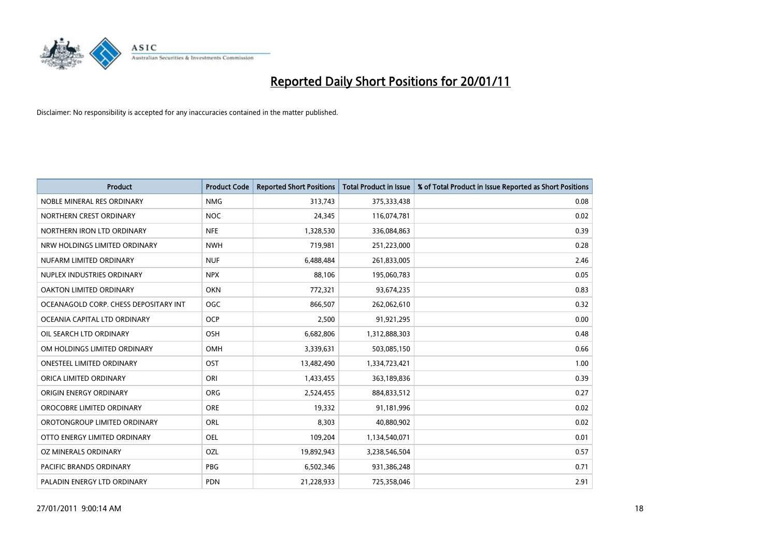

| <b>Product</b>                        | <b>Product Code</b> | <b>Reported Short Positions</b> | <b>Total Product in Issue</b> | % of Total Product in Issue Reported as Short Positions |
|---------------------------------------|---------------------|---------------------------------|-------------------------------|---------------------------------------------------------|
| NOBLE MINERAL RES ORDINARY            | <b>NMG</b>          | 313,743                         | 375,333,438                   | 0.08                                                    |
| NORTHERN CREST ORDINARY               | <b>NOC</b>          | 24,345                          | 116,074,781                   | 0.02                                                    |
| NORTHERN IRON LTD ORDINARY            | <b>NFE</b>          | 1,328,530                       | 336,084,863                   | 0.39                                                    |
| NRW HOLDINGS LIMITED ORDINARY         | <b>NWH</b>          | 719,981                         | 251,223,000                   | 0.28                                                    |
| NUFARM LIMITED ORDINARY               | <b>NUF</b>          | 6,488,484                       | 261,833,005                   | 2.46                                                    |
| NUPLEX INDUSTRIES ORDINARY            | <b>NPX</b>          | 88,106                          | 195,060,783                   | 0.05                                                    |
| OAKTON LIMITED ORDINARY               | <b>OKN</b>          | 772,321                         | 93,674,235                    | 0.83                                                    |
| OCEANAGOLD CORP. CHESS DEPOSITARY INT | <b>OGC</b>          | 866,507                         | 262,062,610                   | 0.32                                                    |
| OCEANIA CAPITAL LTD ORDINARY          | <b>OCP</b>          | 2,500                           | 91,921,295                    | 0.00                                                    |
| OIL SEARCH LTD ORDINARY               | OSH                 | 6,682,806                       | 1,312,888,303                 | 0.48                                                    |
| OM HOLDINGS LIMITED ORDINARY          | <b>OMH</b>          | 3,339,631                       | 503,085,150                   | 0.66                                                    |
| <b>ONESTEEL LIMITED ORDINARY</b>      | OST                 | 13,482,490                      | 1,334,723,421                 | 1.00                                                    |
| ORICA LIMITED ORDINARY                | ORI                 | 1,433,455                       | 363,189,836                   | 0.39                                                    |
| ORIGIN ENERGY ORDINARY                | <b>ORG</b>          | 2,524,455                       | 884,833,512                   | 0.27                                                    |
| OROCOBRE LIMITED ORDINARY             | <b>ORE</b>          | 19,332                          | 91,181,996                    | 0.02                                                    |
| OROTONGROUP LIMITED ORDINARY          | ORL                 | 8,303                           | 40,880,902                    | 0.02                                                    |
| OTTO ENERGY LIMITED ORDINARY          | <b>OEL</b>          | 109,204                         | 1,134,540,071                 | 0.01                                                    |
| OZ MINERALS ORDINARY                  | OZL                 | 19,892,943                      | 3,238,546,504                 | 0.57                                                    |
| <b>PACIFIC BRANDS ORDINARY</b>        | <b>PBG</b>          | 6,502,346                       | 931,386,248                   | 0.71                                                    |
| PALADIN ENERGY LTD ORDINARY           | <b>PDN</b>          | 21,228,933                      | 725,358,046                   | 2.91                                                    |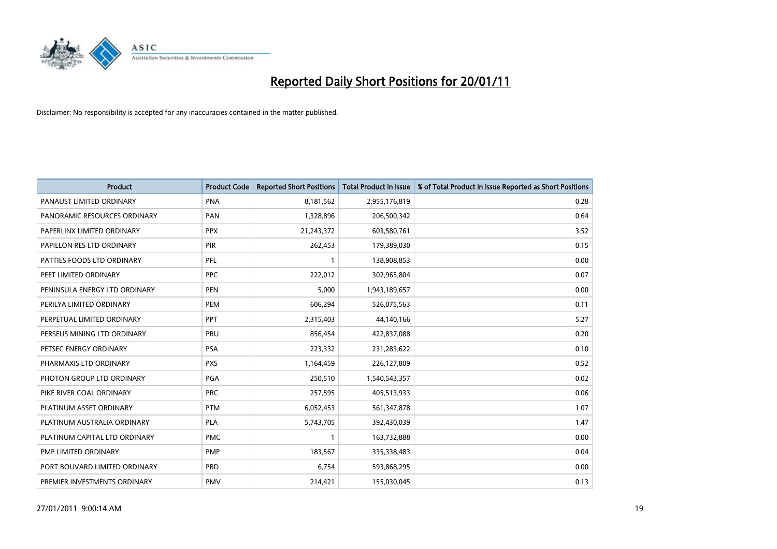![](_page_18_Picture_0.jpeg)

| <b>Product</b>                | <b>Product Code</b> | <b>Reported Short Positions</b> | <b>Total Product in Issue</b> | % of Total Product in Issue Reported as Short Positions |
|-------------------------------|---------------------|---------------------------------|-------------------------------|---------------------------------------------------------|
| PANAUST LIMITED ORDINARY      | <b>PNA</b>          | 8,181,562                       | 2,955,176,819                 | 0.28                                                    |
| PANORAMIC RESOURCES ORDINARY  | PAN                 | 1,328,896                       | 206,500,342                   | 0.64                                                    |
| PAPERLINX LIMITED ORDINARY    | <b>PPX</b>          | 21,243,372                      | 603,580,761                   | 3.52                                                    |
| PAPILLON RES LTD ORDINARY     | PIR                 | 262,453                         | 179,389,030                   | 0.15                                                    |
| PATTIES FOODS LTD ORDINARY    | PFL                 |                                 | 138,908,853                   | 0.00                                                    |
| PEET LIMITED ORDINARY         | <b>PPC</b>          | 222,012                         | 302,965,804                   | 0.07                                                    |
| PENINSULA ENERGY LTD ORDINARY | <b>PEN</b>          | 5,000                           | 1,943,189,657                 | 0.00                                                    |
| PERILYA LIMITED ORDINARY      | PEM                 | 606,294                         | 526,075,563                   | 0.11                                                    |
| PERPETUAL LIMITED ORDINARY    | PPT                 | 2,315,403                       | 44,140,166                    | 5.27                                                    |
| PERSEUS MINING LTD ORDINARY   | PRU                 | 856,454                         | 422,837,088                   | 0.20                                                    |
| PETSEC ENERGY ORDINARY        | <b>PSA</b>          | 223,332                         | 231,283,622                   | 0.10                                                    |
| PHARMAXIS LTD ORDINARY        | <b>PXS</b>          | 1,164,459                       | 226,127,809                   | 0.52                                                    |
| PHOTON GROUP LTD ORDINARY     | PGA                 | 250,510                         | 1,540,543,357                 | 0.02                                                    |
| PIKE RIVER COAL ORDINARY      | <b>PRC</b>          | 257,595                         | 405,513,933                   | 0.06                                                    |
| PLATINUM ASSET ORDINARY       | <b>PTM</b>          | 6,052,453                       | 561,347,878                   | 1.07                                                    |
| PLATINUM AUSTRALIA ORDINARY   | <b>PLA</b>          | 5,743,705                       | 392,430,039                   | 1.47                                                    |
| PLATINUM CAPITAL LTD ORDINARY | <b>PMC</b>          |                                 | 163,732,888                   | 0.00                                                    |
| PMP LIMITED ORDINARY          | <b>PMP</b>          | 183,567                         | 335,338,483                   | 0.04                                                    |
| PORT BOUVARD LIMITED ORDINARY | PBD                 | 6,754                           | 593,868,295                   | 0.00                                                    |
| PREMIER INVESTMENTS ORDINARY  | <b>PMV</b>          | 214,421                         | 155,030,045                   | 0.13                                                    |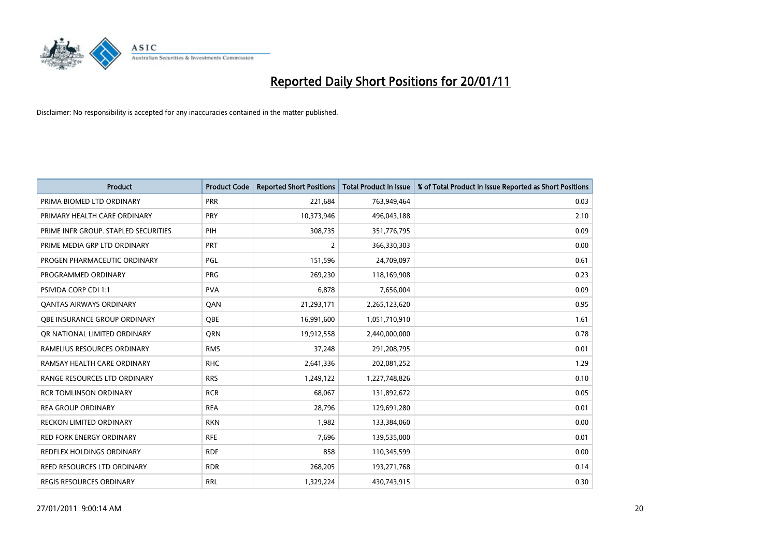![](_page_19_Picture_0.jpeg)

| Product                              | <b>Product Code</b> | <b>Reported Short Positions</b> | <b>Total Product in Issue</b> | % of Total Product in Issue Reported as Short Positions |
|--------------------------------------|---------------------|---------------------------------|-------------------------------|---------------------------------------------------------|
| PRIMA BIOMED LTD ORDINARY            | <b>PRR</b>          | 221,684                         | 763,949,464                   | 0.03                                                    |
| PRIMARY HEALTH CARE ORDINARY         | PRY                 | 10,373,946                      | 496,043,188                   | 2.10                                                    |
| PRIME INFR GROUP. STAPLED SECURITIES | PIH                 | 308,735                         | 351,776,795                   | 0.09                                                    |
| PRIME MEDIA GRP LTD ORDINARY         | <b>PRT</b>          | 2                               | 366,330,303                   | 0.00                                                    |
| PROGEN PHARMACEUTIC ORDINARY         | PGL                 | 151,596                         | 24,709,097                    | 0.61                                                    |
| PROGRAMMED ORDINARY                  | <b>PRG</b>          | 269,230                         | 118,169,908                   | 0.23                                                    |
| <b>PSIVIDA CORP CDI 1:1</b>          | <b>PVA</b>          | 6,878                           | 7,656,004                     | 0.09                                                    |
| <b>QANTAS AIRWAYS ORDINARY</b>       | QAN                 | 21,293,171                      | 2,265,123,620                 | 0.95                                                    |
| OBE INSURANCE GROUP ORDINARY         | <b>OBE</b>          | 16,991,600                      | 1,051,710,910                 | 1.61                                                    |
| OR NATIONAL LIMITED ORDINARY         | <b>ORN</b>          | 19,912,558                      | 2,440,000,000                 | 0.78                                                    |
| RAMELIUS RESOURCES ORDINARY          | <b>RMS</b>          | 37,248                          | 291,208,795                   | 0.01                                                    |
| RAMSAY HEALTH CARE ORDINARY          | <b>RHC</b>          | 2,641,336                       | 202,081,252                   | 1.29                                                    |
| RANGE RESOURCES LTD ORDINARY         | <b>RRS</b>          | 1,249,122                       | 1,227,748,826                 | 0.10                                                    |
| <b>RCR TOMLINSON ORDINARY</b>        | <b>RCR</b>          | 68,067                          | 131,892,672                   | 0.05                                                    |
| <b>REA GROUP ORDINARY</b>            | <b>REA</b>          | 28,796                          | 129,691,280                   | 0.01                                                    |
| RECKON LIMITED ORDINARY              | <b>RKN</b>          | 1,982                           | 133,384,060                   | 0.00                                                    |
| RED FORK ENERGY ORDINARY             | <b>RFE</b>          | 7,696                           | 139,535,000                   | 0.01                                                    |
| REDFLEX HOLDINGS ORDINARY            | <b>RDF</b>          | 858                             | 110,345,599                   | 0.00                                                    |
| <b>REED RESOURCES LTD ORDINARY</b>   | <b>RDR</b>          | 268,205                         | 193,271,768                   | 0.14                                                    |
| REGIS RESOURCES ORDINARY             | <b>RRL</b>          | 1,329,224                       | 430,743,915                   | 0.30                                                    |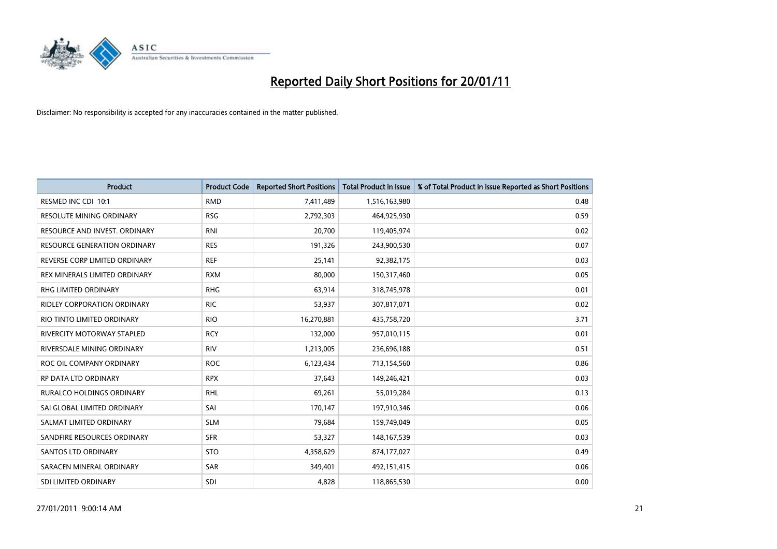![](_page_20_Picture_0.jpeg)

| <b>Product</b>                     | <b>Product Code</b> | <b>Reported Short Positions</b> | <b>Total Product in Issue</b> | % of Total Product in Issue Reported as Short Positions |
|------------------------------------|---------------------|---------------------------------|-------------------------------|---------------------------------------------------------|
| RESMED INC CDI 10:1                | <b>RMD</b>          | 7,411,489                       | 1,516,163,980                 | 0.48                                                    |
| RESOLUTE MINING ORDINARY           | <b>RSG</b>          | 2,792,303                       | 464,925,930                   | 0.59                                                    |
| RESOURCE AND INVEST. ORDINARY      | <b>RNI</b>          | 20,700                          | 119,405,974                   | 0.02                                                    |
| RESOURCE GENERATION ORDINARY       | <b>RES</b>          | 191,326                         | 243,900,530                   | 0.07                                                    |
| REVERSE CORP LIMITED ORDINARY      | <b>REF</b>          | 25,141                          | 92,382,175                    | 0.03                                                    |
| REX MINERALS LIMITED ORDINARY      | <b>RXM</b>          | 80.000                          | 150,317,460                   | 0.05                                                    |
| <b>RHG LIMITED ORDINARY</b>        | <b>RHG</b>          | 63,914                          | 318,745,978                   | 0.01                                                    |
| <b>RIDLEY CORPORATION ORDINARY</b> | <b>RIC</b>          | 53,937                          | 307,817,071                   | 0.02                                                    |
| RIO TINTO LIMITED ORDINARY         | <b>RIO</b>          | 16,270,881                      | 435,758,720                   | 3.71                                                    |
| RIVERCITY MOTORWAY STAPLED         | <b>RCY</b>          | 132,000                         | 957,010,115                   | 0.01                                                    |
| RIVERSDALE MINING ORDINARY         | <b>RIV</b>          | 1,213,005                       | 236,696,188                   | 0.51                                                    |
| ROC OIL COMPANY ORDINARY           | <b>ROC</b>          | 6,123,434                       | 713,154,560                   | 0.86                                                    |
| <b>RP DATA LTD ORDINARY</b>        | <b>RPX</b>          | 37,643                          | 149,246,421                   | 0.03                                                    |
| <b>RURALCO HOLDINGS ORDINARY</b>   | <b>RHL</b>          | 69,261                          | 55,019,284                    | 0.13                                                    |
| SAI GLOBAL LIMITED ORDINARY        | SAI                 | 170,147                         | 197,910,346                   | 0.06                                                    |
| SALMAT LIMITED ORDINARY            | <b>SLM</b>          | 79,684                          | 159,749,049                   | 0.05                                                    |
| SANDFIRE RESOURCES ORDINARY        | <b>SFR</b>          | 53,327                          | 148, 167, 539                 | 0.03                                                    |
| <b>SANTOS LTD ORDINARY</b>         | <b>STO</b>          | 4,358,629                       | 874,177,027                   | 0.49                                                    |
| SARACEN MINERAL ORDINARY           | SAR                 | 349,401                         | 492,151,415                   | 0.06                                                    |
| SDI LIMITED ORDINARY               | SDI                 | 4,828                           | 118,865,530                   | 0.00                                                    |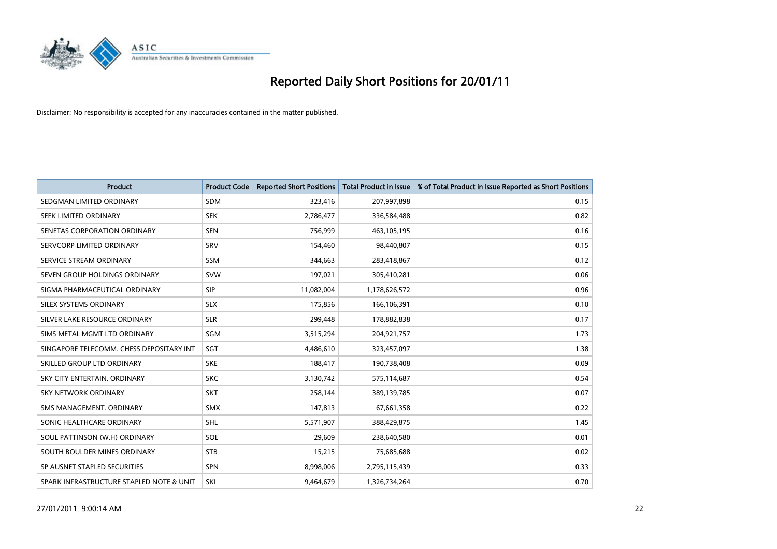![](_page_21_Picture_0.jpeg)

| <b>Product</b>                           | <b>Product Code</b> | <b>Reported Short Positions</b> | <b>Total Product in Issue</b> | % of Total Product in Issue Reported as Short Positions |
|------------------------------------------|---------------------|---------------------------------|-------------------------------|---------------------------------------------------------|
| SEDGMAN LIMITED ORDINARY                 | <b>SDM</b>          | 323,416                         | 207,997,898                   | 0.15                                                    |
| SEEK LIMITED ORDINARY                    | <b>SEK</b>          | 2,786,477                       | 336,584,488                   | 0.82                                                    |
| SENETAS CORPORATION ORDINARY             | <b>SEN</b>          | 756,999                         | 463,105,195                   | 0.16                                                    |
| SERVCORP LIMITED ORDINARY                | SRV                 | 154,460                         | 98,440,807                    | 0.15                                                    |
| SERVICE STREAM ORDINARY                  | <b>SSM</b>          | 344,663                         | 283,418,867                   | 0.12                                                    |
| SEVEN GROUP HOLDINGS ORDINARY            | <b>SVW</b>          | 197,021                         | 305,410,281                   | 0.06                                                    |
| SIGMA PHARMACEUTICAL ORDINARY            | <b>SIP</b>          | 11,082,004                      | 1,178,626,572                 | 0.96                                                    |
| <b>SILEX SYSTEMS ORDINARY</b>            | <b>SLX</b>          | 175,856                         | 166,106,391                   | 0.10                                                    |
| SILVER LAKE RESOURCE ORDINARY            | <b>SLR</b>          | 299,448                         | 178,882,838                   | 0.17                                                    |
| SIMS METAL MGMT LTD ORDINARY             | SGM                 | 3,515,294                       | 204,921,757                   | 1.73                                                    |
| SINGAPORE TELECOMM. CHESS DEPOSITARY INT | SGT                 | 4,486,610                       | 323,457,097                   | 1.38                                                    |
| SKILLED GROUP LTD ORDINARY               | <b>SKE</b>          | 188,417                         | 190,738,408                   | 0.09                                                    |
| SKY CITY ENTERTAIN, ORDINARY             | <b>SKC</b>          | 3,130,742                       | 575,114,687                   | 0.54                                                    |
| <b>SKY NETWORK ORDINARY</b>              | <b>SKT</b>          | 258,144                         | 389,139,785                   | 0.07                                                    |
| SMS MANAGEMENT, ORDINARY                 | <b>SMX</b>          | 147,813                         | 67,661,358                    | 0.22                                                    |
| SONIC HEALTHCARE ORDINARY                | <b>SHL</b>          | 5,571,907                       | 388,429,875                   | 1.45                                                    |
| SOUL PATTINSON (W.H) ORDINARY            | SOL                 | 29,609                          | 238,640,580                   | 0.01                                                    |
| SOUTH BOULDER MINES ORDINARY             | <b>STB</b>          | 15,215                          | 75,685,688                    | 0.02                                                    |
| SP AUSNET STAPLED SECURITIES             | <b>SPN</b>          | 8,998,006                       | 2,795,115,439                 | 0.33                                                    |
| SPARK INFRASTRUCTURE STAPLED NOTE & UNIT | SKI                 | 9,464,679                       | 1,326,734,264                 | 0.70                                                    |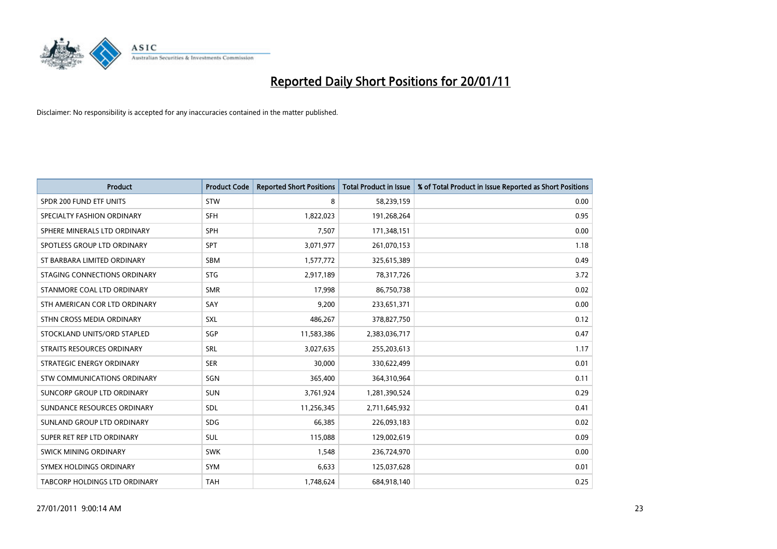![](_page_22_Picture_0.jpeg)

| <b>Product</b>                    | <b>Product Code</b> | <b>Reported Short Positions</b> | <b>Total Product in Issue</b> | % of Total Product in Issue Reported as Short Positions |
|-----------------------------------|---------------------|---------------------------------|-------------------------------|---------------------------------------------------------|
| SPDR 200 FUND ETF UNITS           | <b>STW</b>          | 8                               | 58,239,159                    | 0.00                                                    |
| SPECIALTY FASHION ORDINARY        | <b>SFH</b>          | 1,822,023                       | 191,268,264                   | 0.95                                                    |
| SPHERE MINERALS LTD ORDINARY      | <b>SPH</b>          | 7,507                           | 171,348,151                   | 0.00                                                    |
| SPOTLESS GROUP LTD ORDINARY       | <b>SPT</b>          | 3,071,977                       | 261,070,153                   | 1.18                                                    |
| ST BARBARA LIMITED ORDINARY       | <b>SBM</b>          | 1,577,772                       | 325,615,389                   | 0.49                                                    |
| STAGING CONNECTIONS ORDINARY      | <b>STG</b>          | 2,917,189                       | 78,317,726                    | 3.72                                                    |
| STANMORE COAL LTD ORDINARY        | <b>SMR</b>          | 17,998                          | 86,750,738                    | 0.02                                                    |
| STH AMERICAN COR LTD ORDINARY     | SAY                 | 9,200                           | 233,651,371                   | 0.00                                                    |
| STHN CROSS MEDIA ORDINARY         | SXL                 | 486,267                         | 378,827,750                   | 0.12                                                    |
| STOCKLAND UNITS/ORD STAPLED       | SGP                 | 11,583,386                      | 2,383,036,717                 | 0.47                                                    |
| STRAITS RESOURCES ORDINARY        | <b>SRL</b>          | 3,027,635                       | 255,203,613                   | 1.17                                                    |
| STRATEGIC ENERGY ORDINARY         | <b>SER</b>          | 30,000                          | 330,622,499                   | 0.01                                                    |
| STW COMMUNICATIONS ORDINARY       | SGN                 | 365,400                         | 364,310,964                   | 0.11                                                    |
| <b>SUNCORP GROUP LTD ORDINARY</b> | <b>SUN</b>          | 3,761,924                       | 1,281,390,524                 | 0.29                                                    |
| SUNDANCE RESOURCES ORDINARY       | SDL                 | 11,256,345                      | 2,711,645,932                 | 0.41                                                    |
| SUNLAND GROUP LTD ORDINARY        | <b>SDG</b>          | 66,385                          | 226,093,183                   | 0.02                                                    |
| SUPER RET REP LTD ORDINARY        | SUL                 | 115,088                         | 129,002,619                   | 0.09                                                    |
| SWICK MINING ORDINARY             | <b>SWK</b>          | 1,548                           | 236,724,970                   | 0.00                                                    |
| SYMEX HOLDINGS ORDINARY           | <b>SYM</b>          | 6,633                           | 125,037,628                   | 0.01                                                    |
| TABCORP HOLDINGS LTD ORDINARY     | <b>TAH</b>          | 1,748,624                       | 684,918,140                   | 0.25                                                    |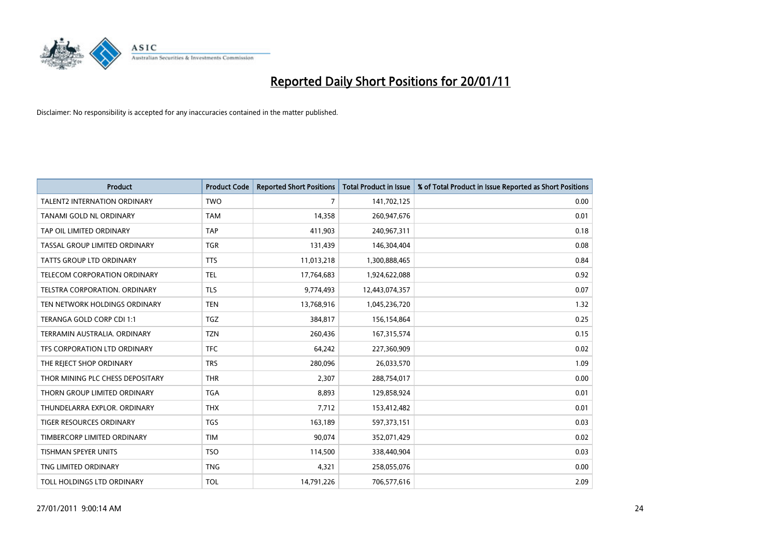![](_page_23_Picture_0.jpeg)

| <b>Product</b>                      | <b>Product Code</b> | <b>Reported Short Positions</b> | Total Product in Issue | % of Total Product in Issue Reported as Short Positions |
|-------------------------------------|---------------------|---------------------------------|------------------------|---------------------------------------------------------|
| <b>TALENT2 INTERNATION ORDINARY</b> | <b>TWO</b>          | 7                               | 141,702,125            | 0.00                                                    |
| TANAMI GOLD NL ORDINARY             | <b>TAM</b>          | 14,358                          | 260,947,676            | 0.01                                                    |
| TAP OIL LIMITED ORDINARY            | <b>TAP</b>          | 411,903                         | 240,967,311            | 0.18                                                    |
| TASSAL GROUP LIMITED ORDINARY       | <b>TGR</b>          | 131,439                         | 146,304,404            | 0.08                                                    |
| <b>TATTS GROUP LTD ORDINARY</b>     | <b>TTS</b>          | 11,013,218                      | 1,300,888,465          | 0.84                                                    |
| <b>TELECOM CORPORATION ORDINARY</b> | <b>TEL</b>          | 17,764,683                      | 1,924,622,088          | 0.92                                                    |
| TELSTRA CORPORATION, ORDINARY       | <b>TLS</b>          | 9,774,493                       | 12,443,074,357         | 0.07                                                    |
| TEN NETWORK HOLDINGS ORDINARY       | <b>TEN</b>          | 13,768,916                      | 1,045,236,720          | 1.32                                                    |
| TERANGA GOLD CORP CDI 1:1           | <b>TGZ</b>          | 384,817                         | 156,154,864            | 0.25                                                    |
| TERRAMIN AUSTRALIA, ORDINARY        | <b>TZN</b>          | 260,436                         | 167,315,574            | 0.15                                                    |
| TFS CORPORATION LTD ORDINARY        | <b>TFC</b>          | 64,242                          | 227,360,909            | 0.02                                                    |
| THE REJECT SHOP ORDINARY            | <b>TRS</b>          | 280,096                         | 26,033,570             | 1.09                                                    |
| THOR MINING PLC CHESS DEPOSITARY    | <b>THR</b>          | 2,307                           | 288,754,017            | 0.00                                                    |
| THORN GROUP LIMITED ORDINARY        | <b>TGA</b>          | 8,893                           | 129,858,924            | 0.01                                                    |
| THUNDELARRA EXPLOR, ORDINARY        | <b>THX</b>          | 7,712                           | 153,412,482            | 0.01                                                    |
| TIGER RESOURCES ORDINARY            | <b>TGS</b>          | 163,189                         | 597,373,151            | 0.03                                                    |
| TIMBERCORP LIMITED ORDINARY         | <b>TIM</b>          | 90,074                          | 352,071,429            | 0.02                                                    |
| TISHMAN SPEYER UNITS                | <b>TSO</b>          | 114,500                         | 338,440,904            | 0.03                                                    |
| TNG LIMITED ORDINARY                | <b>TNG</b>          | 4,321                           | 258,055,076            | 0.00                                                    |
| TOLL HOLDINGS LTD ORDINARY          | <b>TOL</b>          | 14,791,226                      | 706,577,616            | 2.09                                                    |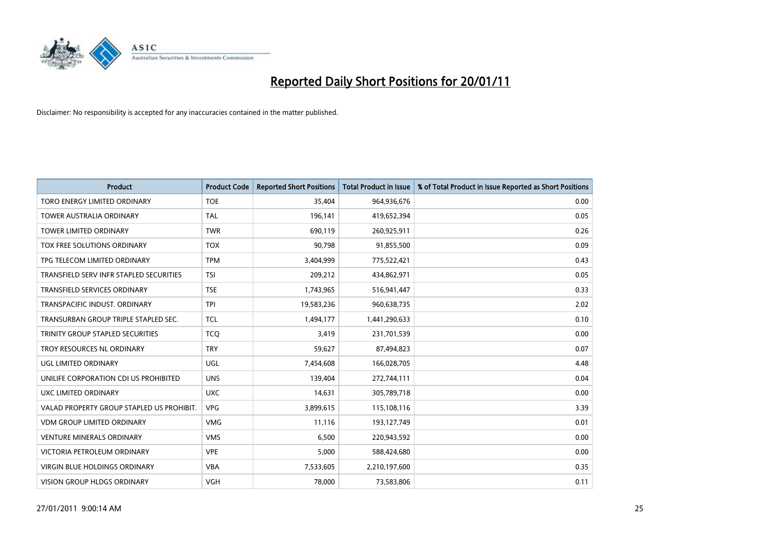![](_page_24_Picture_0.jpeg)

| <b>Product</b>                            | <b>Product Code</b> | <b>Reported Short Positions</b> | Total Product in Issue | % of Total Product in Issue Reported as Short Positions |
|-------------------------------------------|---------------------|---------------------------------|------------------------|---------------------------------------------------------|
| TORO ENERGY LIMITED ORDINARY              | <b>TOE</b>          | 35,404                          | 964,936,676            | 0.00                                                    |
| TOWER AUSTRALIA ORDINARY                  | <b>TAL</b>          | 196,141                         | 419,652,394            | 0.05                                                    |
| <b>TOWER LIMITED ORDINARY</b>             | <b>TWR</b>          | 690,119                         | 260,925,911            | 0.26                                                    |
| TOX FREE SOLUTIONS ORDINARY               | <b>TOX</b>          | 90,798                          | 91,855,500             | 0.09                                                    |
| TPG TELECOM LIMITED ORDINARY              | <b>TPM</b>          | 3,404,999                       | 775,522,421            | 0.43                                                    |
| TRANSFIELD SERV INFR STAPLED SECURITIES   | <b>TSI</b>          | 209,212                         | 434,862,971            | 0.05                                                    |
| <b>TRANSFIELD SERVICES ORDINARY</b>       | <b>TSE</b>          | 1,743,965                       | 516,941,447            | 0.33                                                    |
| TRANSPACIFIC INDUST, ORDINARY             | <b>TPI</b>          | 19,583,236                      | 960,638,735            | 2.02                                                    |
| TRANSURBAN GROUP TRIPLE STAPLED SEC.      | <b>TCL</b>          | 1,494,177                       | 1,441,290,633          | 0.10                                                    |
| TRINITY GROUP STAPLED SECURITIES          | <b>TCQ</b>          | 3,419                           | 231,701,539            | 0.00                                                    |
| TROY RESOURCES NL ORDINARY                | <b>TRY</b>          | 59,627                          | 87,494,823             | 0.07                                                    |
| UGL LIMITED ORDINARY                      | UGL                 | 7,454,608                       | 166,028,705            | 4.48                                                    |
| UNILIFE CORPORATION CDI US PROHIBITED     | <b>UNS</b>          | 139,404                         | 272,744,111            | 0.04                                                    |
| <b>UXC LIMITED ORDINARY</b>               | <b>UXC</b>          | 14,631                          | 305,789,718            | 0.00                                                    |
| VALAD PROPERTY GROUP STAPLED US PROHIBIT. | <b>VPG</b>          | 3,899,615                       | 115,108,116            | 3.39                                                    |
| <b>VDM GROUP LIMITED ORDINARY</b>         | <b>VMG</b>          | 11,116                          | 193,127,749            | 0.01                                                    |
| <b>VENTURE MINERALS ORDINARY</b>          | <b>VMS</b>          | 6,500                           | 220,943,592            | 0.00                                                    |
| VICTORIA PETROLEUM ORDINARY               | <b>VPE</b>          | 5,000                           | 588,424,680            | 0.00                                                    |
| <b>VIRGIN BLUE HOLDINGS ORDINARY</b>      | <b>VBA</b>          | 7,533,605                       | 2,210,197,600          | 0.35                                                    |
| VISION GROUP HLDGS ORDINARY               | <b>VGH</b>          | 78,000                          | 73,583,806             | 0.11                                                    |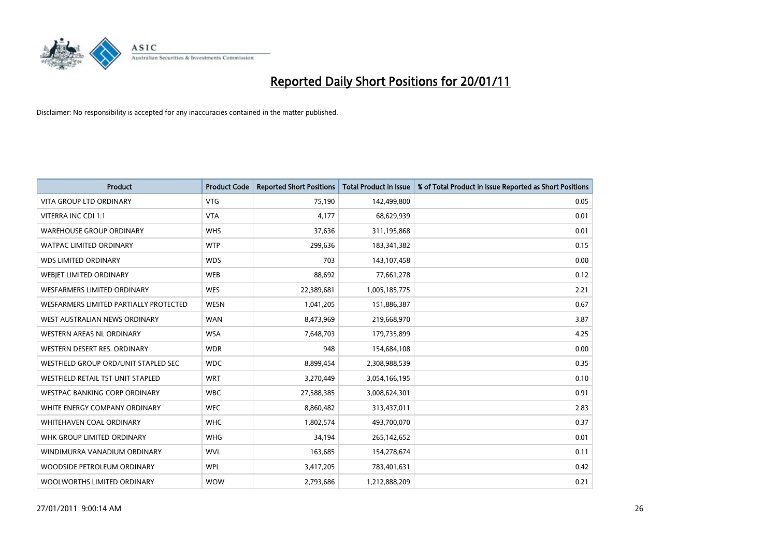![](_page_25_Picture_0.jpeg)

| <b>Product</b>                         | <b>Product Code</b> | <b>Reported Short Positions</b> | <b>Total Product in Issue</b> | % of Total Product in Issue Reported as Short Positions |
|----------------------------------------|---------------------|---------------------------------|-------------------------------|---------------------------------------------------------|
| <b>VITA GROUP LTD ORDINARY</b>         | <b>VTG</b>          | 75,190                          | 142,499,800                   | 0.05                                                    |
| VITERRA INC CDI 1:1                    | <b>VTA</b>          | 4,177                           | 68,629,939                    | 0.01                                                    |
| <b>WAREHOUSE GROUP ORDINARY</b>        | <b>WHS</b>          | 37,636                          | 311,195,868                   | 0.01                                                    |
| WATPAC LIMITED ORDINARY                | <b>WTP</b>          | 299,636                         | 183,341,382                   | 0.15                                                    |
| <b>WDS LIMITED ORDINARY</b>            | <b>WDS</b>          | 703                             | 143,107,458                   | 0.00                                                    |
| WEBJET LIMITED ORDINARY                | <b>WEB</b>          | 88,692                          | 77,661,278                    | 0.12                                                    |
| <b>WESFARMERS LIMITED ORDINARY</b>     | WES                 | 22,389,681                      | 1,005,185,775                 | 2.21                                                    |
| WESFARMERS LIMITED PARTIALLY PROTECTED | <b>WESN</b>         | 1,041,205                       | 151,886,387                   | 0.67                                                    |
| WEST AUSTRALIAN NEWS ORDINARY          | <b>WAN</b>          | 8,473,969                       | 219,668,970                   | 3.87                                                    |
| <b>WESTERN AREAS NL ORDINARY</b>       | <b>WSA</b>          | 7,648,703                       | 179,735,899                   | 4.25                                                    |
| WESTERN DESERT RES. ORDINARY           | <b>WDR</b>          | 948                             | 154,684,108                   | 0.00                                                    |
| WESTFIELD GROUP ORD/UNIT STAPLED SEC   | <b>WDC</b>          | 8,899,454                       | 2,308,988,539                 | 0.35                                                    |
| WESTFIELD RETAIL TST UNIT STAPLED      | <b>WRT</b>          | 3,270,449                       | 3,054,166,195                 | 0.10                                                    |
| <b>WESTPAC BANKING CORP ORDINARY</b>   | <b>WBC</b>          | 27,588,385                      | 3,008,624,301                 | 0.91                                                    |
| WHITE ENERGY COMPANY ORDINARY          | <b>WEC</b>          | 8,860,482                       | 313,437,011                   | 2.83                                                    |
| WHITEHAVEN COAL ORDINARY               | <b>WHC</b>          | 1,802,574                       | 493,700,070                   | 0.37                                                    |
| WHK GROUP LIMITED ORDINARY             | <b>WHG</b>          | 34,194                          | 265,142,652                   | 0.01                                                    |
| WINDIMURRA VANADIUM ORDINARY           | <b>WVL</b>          | 163,685                         | 154,278,674                   | 0.11                                                    |
| WOODSIDE PETROLEUM ORDINARY            | <b>WPL</b>          | 3,417,205                       | 783,401,631                   | 0.42                                                    |
| WOOLWORTHS LIMITED ORDINARY            | <b>WOW</b>          | 2.793.686                       | 1,212,888,209                 | 0.21                                                    |